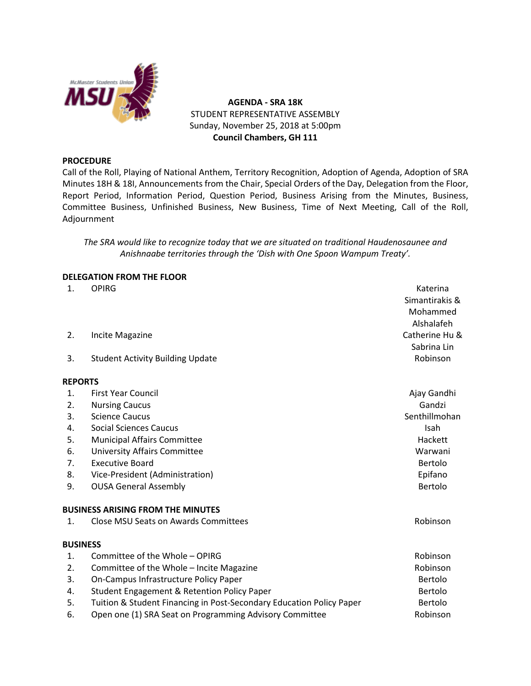

**AGENDA - SRA 18K** STUDENT REPRESENTATIVE ASSEMBLY Sunday, November 25, 2018 at 5:00pm **Council Chambers, GH 111**

#### **PROCEDURE**

Call of the Roll, Playing of National Anthem, Territory Recognition, Adoption of Agenda, Adoption of SRA Minutes 18H & 18I, Announcements from the Chair, Special Orders of the Day, Delegation from the Floor, Report Period, Information Period, Question Period, Business Arising from the Minutes, Business, Committee Business, Unfinished Business, New Business, Time of Next Meeting, Call of the Roll, Adjournment

*The SRA would like to recognize today that we are situated on traditional Haudenosaunee and Anishnaabe territories through the 'Dish with One Spoon Wampum Treaty'.*

#### **DELEGATION FROM THE FLOOR**

| 1.              | <b>OPIRG</b>                                                         | Katerina       |
|-----------------|----------------------------------------------------------------------|----------------|
|                 |                                                                      | Simantirakis & |
|                 |                                                                      | Mohammed       |
|                 |                                                                      | Alshalafeh     |
| 2.              | Incite Magazine                                                      | Catherine Hu & |
|                 |                                                                      | Sabrina Lin    |
| 3.              | <b>Student Activity Building Update</b>                              | Robinson       |
| <b>REPORTS</b>  |                                                                      |                |
| 1.              | <b>First Year Council</b>                                            | Ajay Gandhi    |
| 2.              | <b>Nursing Caucus</b>                                                | Gandzi         |
| 3.              | <b>Science Caucus</b>                                                | Senthillmohan  |
| 4.              | <b>Social Sciences Caucus</b>                                        | Isah           |
| 5.              | <b>Municipal Affairs Committee</b>                                   | Hackett        |
| 6.              | <b>University Affairs Committee</b>                                  | Warwani        |
| 7.              | <b>Executive Board</b>                                               | Bertolo        |
| 8.              | Vice-President (Administration)                                      | Epifano        |
| 9.              | <b>OUSA General Assembly</b>                                         | Bertolo        |
|                 | <b>BUSINESS ARISING FROM THE MINUTES</b>                             |                |
| $\mathbf{1}$ .  | <b>Close MSU Seats on Awards Committees</b>                          | Robinson       |
| <b>BUSINESS</b> |                                                                      |                |
| 1.              | Committee of the Whole - OPIRG                                       | Robinson       |
| 2.              | Committee of the Whole - Incite Magazine                             | Robinson       |
| 3.              | On-Campus Infrastructure Policy Paper                                | Bertolo        |
| 4.              | <b>Student Engagement &amp; Retention Policy Paper</b>               | Bertolo        |
| 5.              | Tuition & Student Financing in Post-Secondary Education Policy Paper | Bertolo        |
| 6.              | Open one (1) SRA Seat on Programming Advisory Committee              | Robinson       |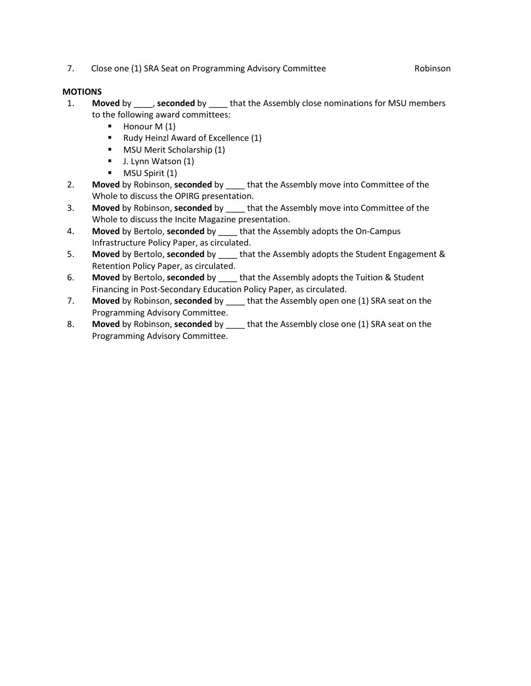7. Close one (1) SRA Seat on Programming Advisory Committee Robinson

# **MOTIONS**

- 1. **Moved** by \_\_\_\_, **seconded** by \_\_\_\_ that the Assembly close nominations for MSU members to the following award committees:
	- $\blacksquare$  Honour M (1)
	- Rudy Heinzl Award of Excellence (1)
	- **MSU Merit Scholarship (1)**
	- **J.** Lynn Watson (1)
	- **MSU Spirit (1)**
- 2. **Moved** by Robinson, **seconded** by \_\_\_\_ that the Assembly move into Committee of the Whole to discuss the OPIRG presentation.
- 3. **Moved** by Robinson, **seconded** by \_\_\_\_ that the Assembly move into Committee of the Whole to discuss the Incite Magazine presentation.
- 4. **Moved** by Bertolo, **seconded** by \_\_\_\_ that the Assembly adopts the On-Campus Infrastructure Policy Paper, as circulated.
- 5. **Moved** by Bertolo, **seconded** by \_\_\_\_ that the Assembly adopts the Student Engagement & Retention Policy Paper, as circulated.
- 6. **Moved** by Bertolo, **seconded** by \_\_\_\_ that the Assembly adopts the Tuition & Student Financing in Post-Secondary Education Policy Paper, as circulated.
- 7. **Moved** by Robinson, **seconded** by \_\_\_\_ that the Assembly open one (1) SRA seat on the Programming Advisory Committee.
- 8. **Moved** by Robinson, **seconded** by \_\_\_\_ that the Assembly close one (1) SRA seat on the Programming Advisory Committee.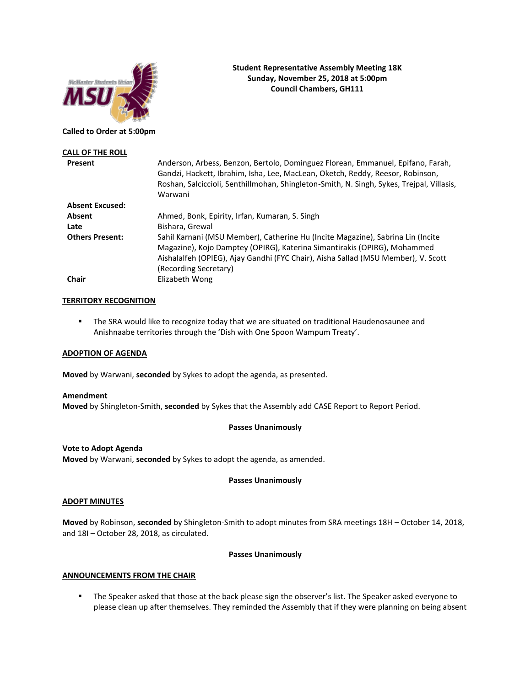

#### **Called to Order at 5:00pm**

| <b>CALL OF THE ROLL</b> |                                                                                                                                                                                                                                                                           |
|-------------------------|---------------------------------------------------------------------------------------------------------------------------------------------------------------------------------------------------------------------------------------------------------------------------|
| Present                 | Anderson, Arbess, Benzon, Bertolo, Dominguez Florean, Emmanuel, Epifano, Farah,<br>Gandzi, Hackett, Ibrahim, Isha, Lee, MacLean, Oketch, Reddy, Reesor, Robinson,<br>Roshan, Salciccioli, Senthillmohan, Shingleton-Smith, N. Singh, Sykes, Trejpal, Villasis,<br>Warwani |
| <b>Absent Excused:</b>  |                                                                                                                                                                                                                                                                           |
| Absent                  | Ahmed, Bonk, Epirity, Irfan, Kumaran, S. Singh                                                                                                                                                                                                                            |
| Late                    | Bishara, Grewal                                                                                                                                                                                                                                                           |
| <b>Others Present:</b>  | Sahil Karnani (MSU Member), Catherine Hu (Incite Magazine), Sabrina Lin (Incite<br>Magazine), Kojo Damptey (OPIRG), Katerina Simantirakis (OPIRG), Mohammed<br>Aishalalfeh (OPIEG), Ajay Gandhi (FYC Chair), Aisha Sallad (MSU Member), V. Scott<br>(Recording Secretary) |
| Chair                   | Elizabeth Wong                                                                                                                                                                                                                                                            |

**Student Representative Assembly Meeting 18K Sunday, November 25, 2018 at 5:00pm Council Chambers, GH111**

#### **TERRITORY RECOGNITION**

**• The SRA would like to recognize today that we are situated on traditional Haudenosaunee and** Anishnaabe territories through the 'Dish with One Spoon Wampum Treaty'.

#### **ADOPTION OF AGENDA**

**Moved** by Warwani, **seconded** by Sykes to adopt the agenda, as presented.

#### **Amendment**

**Moved** by Shingleton-Smith, **seconded** by Sykes that the Assembly add CASE Report to Report Period.

#### **Passes Unanimously**

#### **Vote to Adopt Agenda**

**Moved** by Warwani, **seconded** by Sykes to adopt the agenda, as amended.

#### **Passes Unanimously**

#### **ADOPT MINUTES**

**Moved** by Robinson, **seconded** by Shingleton-Smith to adopt minutes from SRA meetings 18H – October 14, 2018, and 18I – October 28, 2018, as circulated.

#### **Passes Unanimously**

#### **ANNOUNCEMENTS FROM THE CHAIR**

■ The Speaker asked that those at the back please sign the observer's list. The Speaker asked everyone to please clean up after themselves. They reminded the Assembly that if they were planning on being absent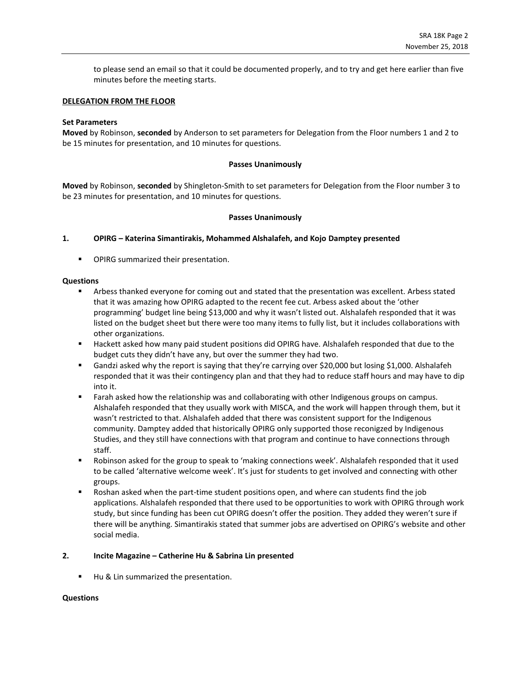to please send an email so that it could be documented properly, and to try and get here earlier than five minutes before the meeting starts.

#### **DELEGATION FROM THE FLOOR**

#### **Set Parameters**

**Moved** by Robinson, **seconded** by Anderson to set parameters for Delegation from the Floor numbers 1 and 2 to be 15 minutes for presentation, and 10 minutes for questions.

#### **Passes Unanimously**

**Moved** by Robinson, **seconded** by Shingleton-Smith to set parameters for Delegation from the Floor number 3 to be 23 minutes for presentation, and 10 minutes for questions.

#### **Passes Unanimously**

#### **1. OPIRG – Katerina Simantirakis, Mohammed Alshalafeh, and Kojo Damptey presented**

■ OPIRG summarized their presentation.

#### **Questions**

- Arbess thanked everyone for coming out and stated that the presentation was excellent. Arbess stated that it was amazing how OPIRG adapted to the recent fee cut. Arbess asked about the 'other programming' budget line being \$13,000 and why it wasn't listed out. Alshalafeh responded that it was listed on the budget sheet but there were too many items to fully list, but it includes collaborations with other organizations.
- Hackett asked how many paid student positions did OPIRG have. Alshalafeh responded that due to the budget cuts they didn't have any, but over the summer they had two.
- Gandzi asked why the report is saying that they're carrying over \$20,000 but losing \$1,000. Alshalafeh responded that it was their contingency plan and that they had to reduce staff hours and may have to dip into it.
- Farah asked how the relationship was and collaborating with other Indigenous groups on campus. Alshalafeh responded that they usually work with MISCA, and the work will happen through them, but it wasn't restricted to that. Alshalafeh added that there was consistent support for the Indigenous community. Damptey added that historically OPIRG only supported those reconigzed by Indigenous Studies, and they still have connections with that program and continue to have connections through staff.
- Robinson asked for the group to speak to 'making connections week'. Alshalafeh responded that it used to be called 'alternative welcome week'. It's just for students to get involved and connecting with other groups.
- Roshan asked when the part-time student positions open, and where can students find the job applications. Alshalafeh responded that there used to be opportunities to work with OPIRG through work study, but since funding has been cut OPIRG doesn't offer the position. They added they weren't sure if there will be anything. Simantirakis stated that summer jobs are advertised on OPIRG's website and other social media.

#### **2. Incite Magazine – Catherine Hu & Sabrina Lin presented**

■ Hu & Lin summarized the presentation.

#### **Questions**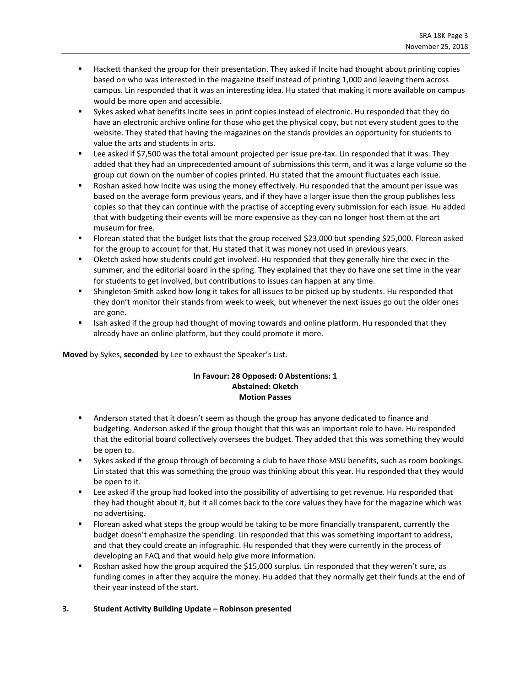- Hackett thanked the group for their presentation. They asked if Incite had thought about printing copies based on who was interested in the magazine itself instead of printing 1,000 and leaving them across campus. Lin responded that it was an interesting idea. Hu stated that making it more available on campus would be more open and accessible.
- Sykes asked what benefits Incite sees in print copies instead of electronic. Hu responded that they do have an electronic archive online for those who get the physical copy, but not every student goes to the website. They stated that having the magazines on the stands provides an opportunity for students to value the arts and students in arts.
- Lee asked if \$7,500 was the total amount projected per issue pre-tax. Lin responded that it was. They added that they had an unprecedented amount of submissions this term, and it was a large volume so the group cut down on the number of copies printed. Hu stated that the amount fluctuates each issue.
- Roshan asked how Incite was using the money effectively. Hu responded that the amount per issue was based on the average form previous years, and if they have a larger issue then the group publishes less copies so that they can continue with the practise of accepting every submission for each issue. Hu added that with budgeting their events will be more expensive as they can no longer host them at the art museum for free.
- Florean stated that the budget lists that the group received \$23,000 but spending \$25,000. Florean asked for the group to account for that. Hu stated that it was money not used in previous years.
- Oketch asked how students could get involved. Hu responded that they generally hire the exec in the summer, and the editorial board in the spring. They explained that they do have one set time in the year for students to get involved, but contributions to issues can happen at any time.
- Shingleton-Smith asked how long it takes for all issues to be picked up by students. Hu responded that they don't monitor their stands from week to week, but whenever the next issues go out the older ones are gone.
- Isah asked if the group had thought of moving towards and online platform. Hu responded that they already have an online platform, but they could promote it more.

**Moved** by Sykes, **seconded** by Lee to exhaust the Speaker's List.

#### **In Favour: 28 Opposed: 0 Abstentions: 1 Abstained: Oketch Motion Passes**

- Anderson stated that it doesn't seem as though the group has anyone dedicated to finance and budgeting. Anderson asked if the group thought that this was an important role to have. Hu responded that the editorial board collectively oversees the budget. They added that this was something they would be open to.
- **•** Sykes asked if the group through of becoming a club to have those MSU benefits, such as room bookings. Lin stated that this was something the group was thinking about this year. Hu responded that they would be open to it.
- Lee asked if the group had looked into the possibility of advertising to get revenue. Hu responded that they had thought about it, but it all comes back to the core values they have for the magazine which was no advertising.
- Florean asked what steps the group would be taking to be more financially transparent, currently the budget doesn't emphasize the spending. Lin responded that this was something important to address, and that they could create an infographic. Hu responded that they were currently in the process of developing an FAQ and that would help give more information.
- Roshan asked how the group acquired the \$15,000 surplus. Lin responded that they weren't sure, as funding comes in after they acquire the money. Hu added that they normally get their funds at the end of their year instead of the start.

#### **3. Student Activity Building Update – Robinson presented**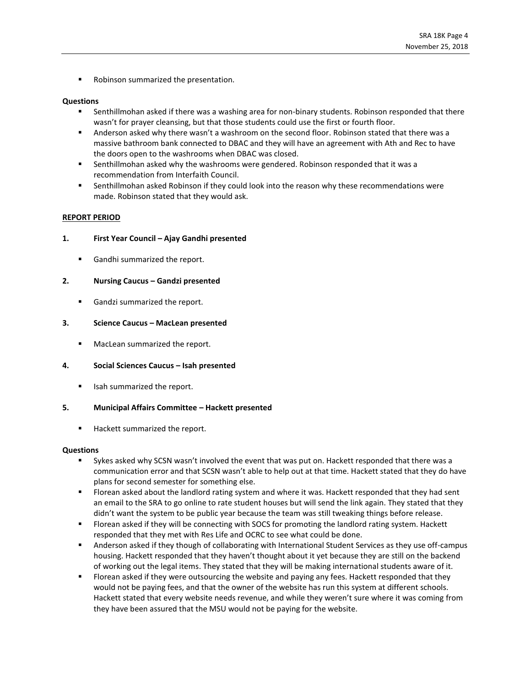■ Robinson summarized the presentation.

#### **Questions**

- Senthillmohan asked if there was a washing area for non-binary students. Robinson responded that there wasn't for prayer cleansing, but that those students could use the first or fourth floor.
- Anderson asked why there wasn't a washroom on the second floor. Robinson stated that there was a massive bathroom bank connected to DBAC and they will have an agreement with Ath and Rec to have the doors open to the washrooms when DBAC was closed.
- Senthillmohan asked why the washrooms were gendered. Robinson responded that it was a recommendation from Interfaith Council.
- **EXECO ADMORT ASKED ROBINSON IS ADMORT ASKED FOR ASKED FOR THE INTER FOR THE SET IS READLED FOR THE SET IS READLED FOR THE SET IS ADMONDED FOR THE SET IS ADMONDED FOR THE SET IS ADMONDED FOR THE SET IS ADMONDED FOR THE SET** made. Robinson stated that they would ask.

#### **REPORT PERIOD**

#### **1. First Year Council – Ajay Gandhi presented**

■ Gandhi summarized the report.

#### **2. Nursing Caucus – Gandzi presented**

■ Gandzi summarized the report.

#### **3. Science Caucus – MacLean presented**

■ MacLean summarized the report.

#### **4. Social Sciences Caucus – Isah presented**

■ Isah summarized the report.

#### **5. Municipal Affairs Committee – Hackett presented**

■ Hackett summarized the report.

#### **Questions**

- Sykes asked why SCSN wasn't involved the event that was put on. Hackett responded that there was a communication error and that SCSN wasn't able to help out at that time. Hackett stated that they do have plans for second semester for something else.
- Florean asked about the landlord rating system and where it was. Hackett responded that they had sent an email to the SRA to go online to rate student houses but will send the link again. They stated that they didn't want the system to be public year because the team was still tweaking things before release.
- Florean asked if they will be connecting with SOCS for promoting the landlord rating system. Hackett responded that they met with Res Life and OCRC to see what could be done.
- Anderson asked if they though of collaborating with International Student Services as they use off-campus housing. Hackett responded that they haven't thought about it yet because they are still on the backend of working out the legal items. They stated that they will be making international students aware of it.
- Florean asked if they were outsourcing the website and paying any fees. Hackett responded that they would not be paying fees, and that the owner of the website has run this system at different schools. Hackett stated that every website needs revenue, and while they weren't sure where it was coming from they have been assured that the MSU would not be paying for the website.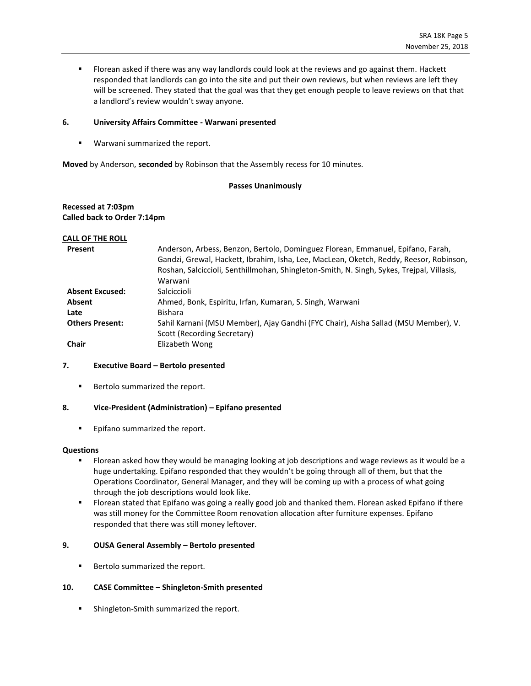**■** Florean asked if there was any way landlords could look at the reviews and go against them. Hackett responded that landlords can go into the site and put their own reviews, but when reviews are left they will be screened. They stated that the goal was that they get enough people to leave reviews on that that a landlord's review wouldn't sway anyone.

#### **6. University Affairs Committee - Warwani presented**

■ Warwani summarized the report.

**Moved** by Anderson, **seconded** by Robinson that the Assembly recess for 10 minutes.

#### **Passes Unanimously**

#### **Recessed at 7:03pm Called back to Order 7:14pm**

#### **CALL OF THE ROLL**

| <b>Present</b>                                                     | Anderson, Arbess, Benzon, Bertolo, Dominguez Florean, Emmanuel, Epifano, Farah,           |  |
|--------------------------------------------------------------------|-------------------------------------------------------------------------------------------|--|
|                                                                    | Gandzi, Grewal, Hackett, Ibrahim, Isha, Lee, MacLean, Oketch, Reddy, Reesor, Robinson,    |  |
|                                                                    | Roshan, Salciccioli, Senthillmohan, Shingleton-Smith, N. Singh, Sykes, Trejpal, Villasis, |  |
|                                                                    | Warwani                                                                                   |  |
| <b>Absent Excused:</b><br>Salciccioli                              |                                                                                           |  |
| Ahmed, Bonk, Espiritu, Irfan, Kumaran, S. Singh, Warwani<br>Absent |                                                                                           |  |
| Late                                                               | Bishara                                                                                   |  |
| <b>Others Present:</b>                                             | Sahil Karnani (MSU Member), Ajay Gandhi (FYC Chair), Aisha Sallad (MSU Member), V.        |  |
|                                                                    | Scott (Recording Secretary)                                                               |  |
| <b>Chair</b>                                                       | Elizabeth Wong                                                                            |  |

#### **7. Executive Board – Bertolo presented**

■ Bertolo summarized the report.

#### **8. Vice-President (Administration) – Epifano presented**

**Epifano summarized the report.** 

#### **Questions**

- **■** Florean asked how they would be managing looking at job descriptions and wage reviews as it would be a huge undertaking. Epifano responded that they wouldn't be going through all of them, but that the Operations Coordinator, General Manager, and they will be coming up with a process of what going through the job descriptions would look like.
- Florean stated that Epifano was going a really good job and thanked them. Florean asked Epifano if there was still money for the Committee Room renovation allocation after furniture expenses. Epifano responded that there was still money leftover.

#### **9. OUSA General Assembly – Bertolo presented**

■ Bertolo summarized the report.

#### **10. CASE Committee – Shingleton-Smith presented**

**■** Shingleton-Smith summarized the report.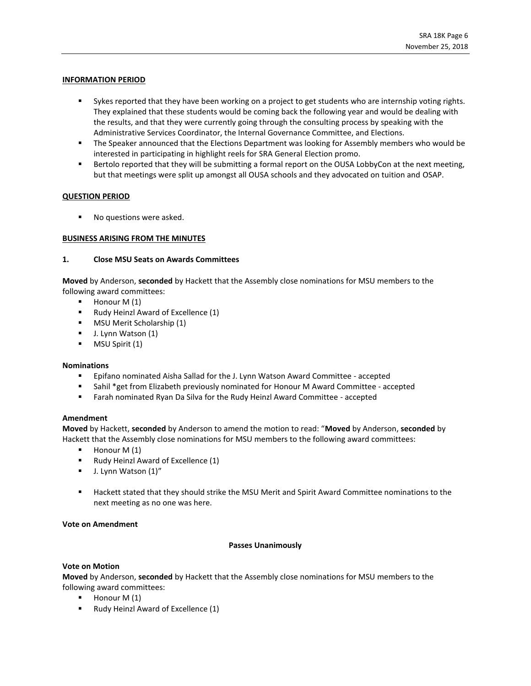#### **INFORMATION PERIOD**

- Sykes reported that they have been working on a project to get students who are internship voting rights. They explained that these students would be coming back the following year and would be dealing with the results, and that they were currently going through the consulting process by speaking with the Administrative Services Coordinator, the Internal Governance Committee, and Elections.
- **•** The Speaker announced that the Elections Department was looking for Assembly members who would be interested in participating in highlight reels for SRA General Election promo.
- Bertolo reported that they will be submitting a formal report on the OUSA LobbyCon at the next meeting, but that meetings were split up amongst all OUSA schools and they advocated on tuition and OSAP.

#### **QUESTION PERIOD**

No questions were asked.

#### **BUSINESS ARISING FROM THE MINUTES**

#### **1. Close MSU Seats on Awards Committees**

**Moved** by Anderson, **seconded** by Hackett that the Assembly close nominations for MSU members to the following award committees:

- Honour M (1)
- Rudy Heinzl Award of Excellence (1)
- MSU Merit Scholarship (1)
- J. Lynn Watson (1)
- MSU Spirit (1)

#### **Nominations**

- Epifano nominated Aisha Sallad for the J. Lynn Watson Award Committee accepted
- **■** Sahil \*get from Elizabeth previously nominated for Honour M Award Committee accepted
- Farah nominated Ryan Da Silva for the Rudy Heinzl Award Committee accepted

#### **Amendment**

**Moved** by Hackett, **seconded** by Anderson to amend the motion to read: "**Moved** by Anderson, **seconded** by Hackett that the Assembly close nominations for MSU members to the following award committees:

- $\blacksquare$  Honour M (1)
- Rudy Heinzl Award of Excellence (1)
- J. Lynn Watson (1)"
- Hackett stated that they should strike the MSU Merit and Spirit Award Committee nominations to the next meeting as no one was here.

#### **Vote on Amendment**

#### **Passes Unanimously**

#### **Vote on Motion**

**Moved** by Anderson, **seconded** by Hackett that the Assembly close nominations for MSU members to the following award committees:

- $\blacksquare$  Honour M (1)
- Rudy Heinzl Award of Excellence (1)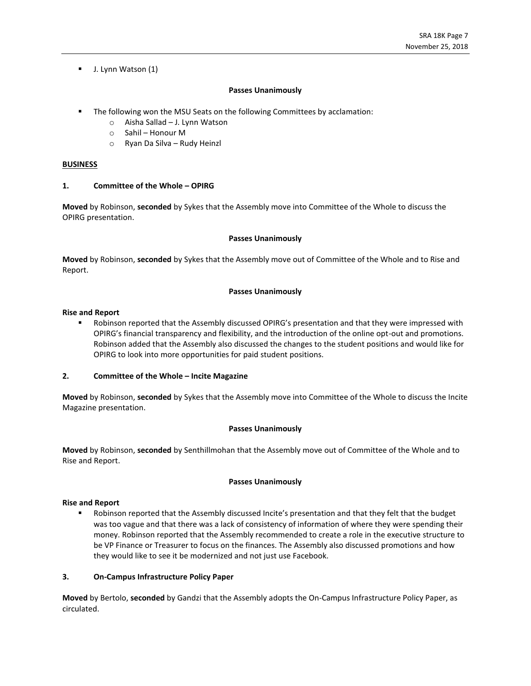▪ J. Lynn Watson (1)

#### **Passes Unanimously**

- **•** The following won the MSU Seats on the following Committees by acclamation:
	- o Aisha Sallad J. Lynn Watson
	- o Sahil Honour M
	- o Ryan Da Silva Rudy Heinzl

#### **BUSINESS**

#### **1. Committee of the Whole – OPIRG**

**Moved** by Robinson, **seconded** by Sykes that the Assembly move into Committee of the Whole to discuss the OPIRG presentation.

#### **Passes Unanimously**

**Moved** by Robinson, **seconded** by Sykes that the Assembly move out of Committee of the Whole and to Rise and Report.

#### **Passes Unanimously**

#### **Rise and Report**

■ Robinson reported that the Assembly discussed OPIRG's presentation and that they were impressed with OPIRG's financial transparency and flexibility, and the introduction of the online opt-out and promotions. Robinson added that the Assembly also discussed the changes to the student positions and would like for OPIRG to look into more opportunities for paid student positions.

#### **2. Committee of the Whole – Incite Magazine**

**Moved** by Robinson, **seconded** by Sykes that the Assembly move into Committee of the Whole to discuss the Incite Magazine presentation.

#### **Passes Unanimously**

**Moved** by Robinson, **seconded** by Senthillmohan that the Assembly move out of Committee of the Whole and to Rise and Report.

#### **Passes Unanimously**

#### **Rise and Report**

■ Robinson reported that the Assembly discussed Incite's presentation and that they felt that the budget was too vague and that there was a lack of consistency of information of where they were spending their money. Robinson reported that the Assembly recommended to create a role in the executive structure to be VP Finance or Treasurer to focus on the finances. The Assembly also discussed promotions and how they would like to see it be modernized and not just use Facebook.

#### **3. On-Campus Infrastructure Policy Paper**

**Moved** by Bertolo, **seconded** by Gandzi that the Assembly adopts the On-Campus Infrastructure Policy Paper, as circulated.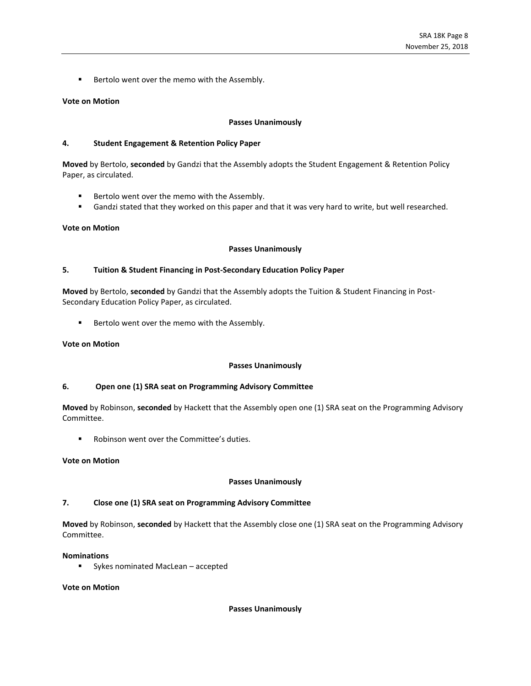■ Bertolo went over the memo with the Assembly.

#### **Vote on Motion**

#### **Passes Unanimously**

#### **4. Student Engagement & Retention Policy Paper**

**Moved** by Bertolo, **seconded** by Gandzi that the Assembly adopts the Student Engagement & Retention Policy Paper, as circulated.

- Bertolo went over the memo with the Assembly.
- Gandzi stated that they worked on this paper and that it was very hard to write, but well researched.

#### **Vote on Motion**

#### **Passes Unanimously**

#### **5. Tuition & Student Financing in Post-Secondary Education Policy Paper**

**Moved** by Bertolo, **seconded** by Gandzi that the Assembly adopts the Tuition & Student Financing in Post-Secondary Education Policy Paper, as circulated.

■ Bertolo went over the memo with the Assembly.

#### **Vote on Motion**

#### **Passes Unanimously**

#### **6. Open one (1) SRA seat on Programming Advisory Committee**

**Moved** by Robinson, **seconded** by Hackett that the Assembly open one (1) SRA seat on the Programming Advisory Committee.

Robinson went over the Committee's duties.

#### **Vote on Motion**

#### **Passes Unanimously**

#### **7. Close one (1) SRA seat on Programming Advisory Committee**

**Moved** by Robinson, **seconded** by Hackett that the Assembly close one (1) SRA seat on the Programming Advisory Committee.

#### **Nominations**

■ Sykes nominated MacLean – accepted

#### **Vote on Motion**

#### **Passes Unanimously**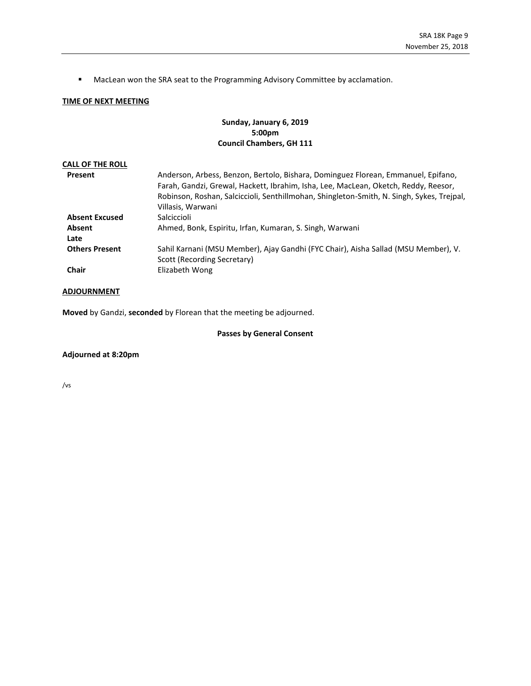■ MacLean won the SRA seat to the Programming Advisory Committee by acclamation.

#### **TIME OF NEXT MEETING**

#### **Sunday, January 6, 2019 5:00pm Council Chambers, GH 111**

| <b>CALL OF THE ROLL</b> |                                                                                                                                                                                                                                                                                            |
|-------------------------|--------------------------------------------------------------------------------------------------------------------------------------------------------------------------------------------------------------------------------------------------------------------------------------------|
| Present                 | Anderson, Arbess, Benzon, Bertolo, Bishara, Dominguez Florean, Emmanuel, Epifano,<br>Farah, Gandzi, Grewal, Hackett, Ibrahim, Isha, Lee, MacLean, Oketch, Reddy, Reesor,<br>Robinson, Roshan, Salciccioli, Senthillmohan, Shingleton-Smith, N. Singh, Sykes, Trejpal,<br>Villasis, Warwani |
| <b>Absent Excused</b>   | Salciccioli                                                                                                                                                                                                                                                                                |
| Absent<br>Late          | Ahmed, Bonk, Espiritu, Irfan, Kumaran, S. Singh, Warwani                                                                                                                                                                                                                                   |
| <b>Others Present</b>   | Sahil Karnani (MSU Member), Ajay Gandhi (FYC Chair), Aisha Sallad (MSU Member), V.<br>Scott (Recording Secretary)                                                                                                                                                                          |
| Chair                   | Elizabeth Wong                                                                                                                                                                                                                                                                             |

#### **ADJOURNMENT**

**Moved** by Gandzi, **seconded** by Florean that the meeting be adjourned.

#### **Passes by General Consent**

**Adjourned at 8:20pm**

/vs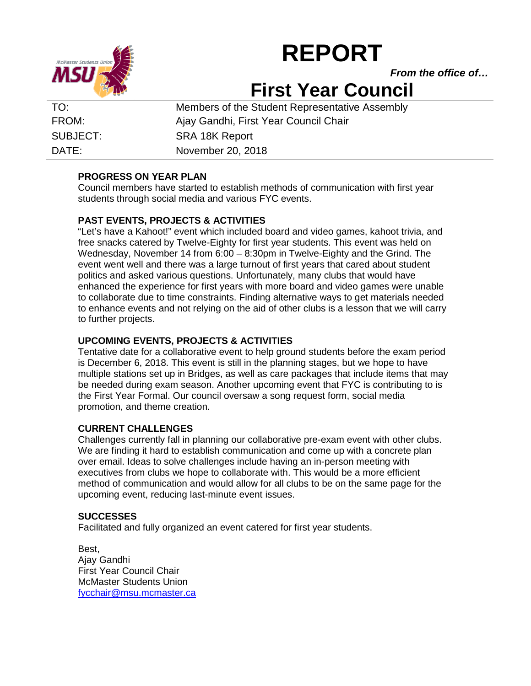

# **REPORT**

*From the office of…*

# **First Year Council**

TO: Members of the Student Representative Assembly FROM: Ajay Gandhi, First Year Council Chair SUBJECT: SRA 18K Report DATE: November 20, 2018

# **PROGRESS ON YEAR PLAN**

Council members have started to establish methods of communication with first year students through social media and various FYC events.

# **PAST EVENTS, PROJECTS & ACTIVITIES**

"Let's have a Kahoot!" event which included board and video games, kahoot trivia, and free snacks catered by Twelve-Eighty for first year students. This event was held on Wednesday, November 14 from 6:00 – 8:30pm in Twelve-Eighty and the Grind. The event went well and there was a large turnout of first years that cared about student politics and asked various questions. Unfortunately, many clubs that would have enhanced the experience for first years with more board and video games were unable to collaborate due to time constraints. Finding alternative ways to get materials needed to enhance events and not relying on the aid of other clubs is a lesson that we will carry to further projects.

# **UPCOMING EVENTS, PROJECTS & ACTIVITIES**

Tentative date for a collaborative event to help ground students before the exam period is December 6, 2018. This event is still in the planning stages, but we hope to have multiple stations set up in Bridges, as well as care packages that include items that may be needed during exam season. Another upcoming event that FYC is contributing to is the First Year Formal. Our council oversaw a song request form, social media promotion, and theme creation.

# **CURRENT CHALLENGES**

Challenges currently fall in planning our collaborative pre-exam event with other clubs. We are finding it hard to establish communication and come up with a concrete plan over email. Ideas to solve challenges include having an in-person meeting with executives from clubs we hope to collaborate with. This would be a more efficient method of communication and would allow for all clubs to be on the same page for the upcoming event, reducing last-minute event issues.

# **SUCCESSES**

Facilitated and fully organized an event catered for first year students.

Best, Ajay Gandhi First Year Council Chair McMaster Students Union [fycchair@msu.mcmaster.ca](mailto:fycchair@msu.mcmaster.ca)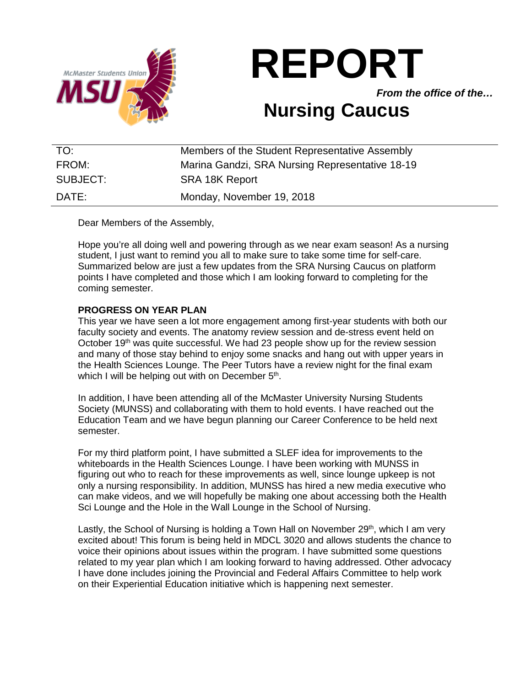

# **REPORT**

*From the office of the…*

# **Nursing Caucus**

| TO:      | Members of the Student Representative Assembly  |
|----------|-------------------------------------------------|
| FROM:    | Marina Gandzi, SRA Nursing Representative 18-19 |
| SUBJECT: | <b>SRA 18K Report</b>                           |
| DATE:    | Monday, November 19, 2018                       |

Dear Members of the Assembly,

Hope you're all doing well and powering through as we near exam season! As a nursing student, I just want to remind you all to make sure to take some time for self-care. Summarized below are just a few updates from the SRA Nursing Caucus on platform points I have completed and those which I am looking forward to completing for the coming semester.

# **PROGRESS ON YEAR PLAN**

This year we have seen a lot more engagement among first-year students with both our faculty society and events. The anatomy review session and de-stress event held on October 19th was quite successful. We had 23 people show up for the review session and many of those stay behind to enjoy some snacks and hang out with upper years in the Health Sciences Lounge. The Peer Tutors have a review night for the final exam which I will be helping out with on December 5<sup>th</sup>.

In addition, I have been attending all of the McMaster University Nursing Students Society (MUNSS) and collaborating with them to hold events. I have reached out the Education Team and we have begun planning our Career Conference to be held next semester.

For my third platform point, I have submitted a SLEF idea for improvements to the whiteboards in the Health Sciences Lounge. I have been working with MUNSS in figuring out who to reach for these improvements as well, since lounge upkeep is not only a nursing responsibility. In addition, MUNSS has hired a new media executive who can make videos, and we will hopefully be making one about accessing both the Health Sci Lounge and the Hole in the Wall Lounge in the School of Nursing.

Lastly, the School of Nursing is holding a Town Hall on November  $29<sup>th</sup>$ , which I am very excited about! This forum is being held in MDCL 3020 and allows students the chance to voice their opinions about issues within the program. I have submitted some questions related to my year plan which I am looking forward to having addressed. Other advocacy I have done includes joining the Provincial and Federal Affairs Committee to help work on their Experiential Education initiative which is happening next semester.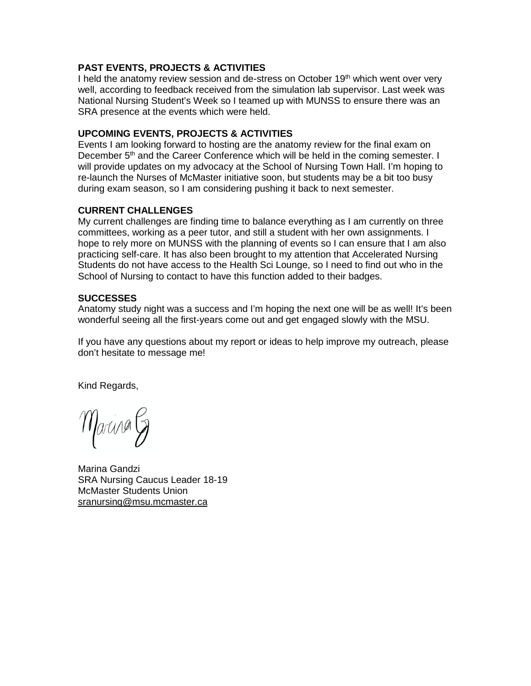# **PAST EVENTS, PROJECTS & ACTIVITIES**

I held the anatomy review session and de-stress on October 19<sup>th</sup> which went over very well, according to feedback received from the simulation lab supervisor. Last week was National Nursing Student's Week so I teamed up with MUNSS to ensure there was an SRA presence at the events which were held.

# **UPCOMING EVENTS, PROJECTS & ACTIVITIES**

Events I am looking forward to hosting are the anatomy review for the final exam on December 5<sup>th</sup> and the Career Conference which will be held in the coming semester. I will provide updates on my advocacy at the School of Nursing Town Hall. I'm hoping to re-launch the Nurses of McMaster initiative soon, but students may be a bit too busy during exam season, so I am considering pushing it back to next semester.

# **CURRENT CHALLENGES**

My current challenges are finding time to balance everything as I am currently on three committees, working as a peer tutor, and still a student with her own assignments. I hope to rely more on MUNSS with the planning of events so I can ensure that I am also practicing self-care. It has also been brought to my attention that Accelerated Nursing Students do not have access to the Health Sci Lounge, so I need to find out who in the School of Nursing to contact to have this function added to their badges.

# **SUCCESSES**

Anatomy study night was a success and I'm hoping the next one will be as well! It's been wonderful seeing all the first-years come out and get engaged slowly with the MSU.

If you have any questions about my report or ideas to help improve my outreach, please don't hesitate to message me!

Kind Regards,

Marina G

Marina Gandzi SRA Nursing Caucus Leader 18-19 McMaster Students Union [sranursing@msu.mcmaster.ca](mailto:srahealth@msu.mcmaster.ca)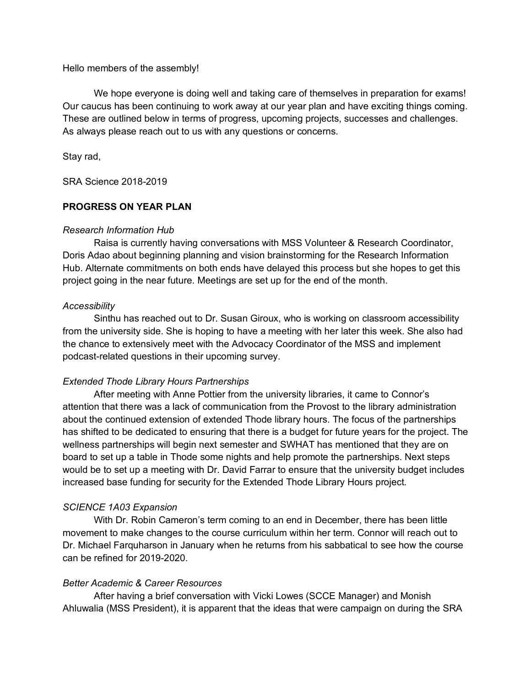Hello members of the assembly!

We hope everyone is doing well and taking care of themselves in preparation for exams! Our caucus has been continuing to work away at our year plan and have exciting things coming. These are outlined below in terms of progress, upcoming projects, successes and challenges. As always please reach out to us with any questions or concerns.

Stay rad,

SRA Science 2018-2019

# **PROGRESS ON YEAR PLAN**

# *Research Information Hub*

Raisa is currently having conversations with MSS Volunteer & Research Coordinator, Doris Adao about beginning planning and vision brainstorming for the Research Information Hub. Alternate commitments on both ends have delayed this process but she hopes to get this project going in the near future. Meetings are set up for the end of the month.

# *Accessibility*

Sinthu has reached out to Dr. Susan Giroux, who is working on classroom accessibility from the university side. She is hoping to have a meeting with her later this week. She also had the chance to extensively meet with the Advocacy Coordinator of the MSS and implement podcast-related questions in their upcoming survey.

# *Extended Thode Library Hours Partnerships*

After meeting with Anne Pottier from the university libraries, it came to Connor's attention that there was a lack of communication from the Provost to the library administration about the continued extension of extended Thode library hours. The focus of the partnerships has shifted to be dedicated to ensuring that there is a budget for future years for the project. The wellness partnerships will begin next semester and SWHAT has mentioned that they are on board to set up a table in Thode some nights and help promote the partnerships. Next steps would be to set up a meeting with Dr. David Farrar to ensure that the university budget includes increased base funding for security for the Extended Thode Library Hours project.

# *SCIENCE 1A03 Expansion*

With Dr. Robin Cameron's term coming to an end in December, there has been little movement to make changes to the course curriculum within her term. Connor will reach out to Dr. Michael Farquharson in January when he returns from his sabbatical to see how the course can be refined for 2019-2020.

# *Better Academic & Career Resources*

After having a brief conversation with Vicki Lowes (SCCE Manager) and Monish Ahluwalia (MSS President), it is apparent that the ideas that were campaign on during the SRA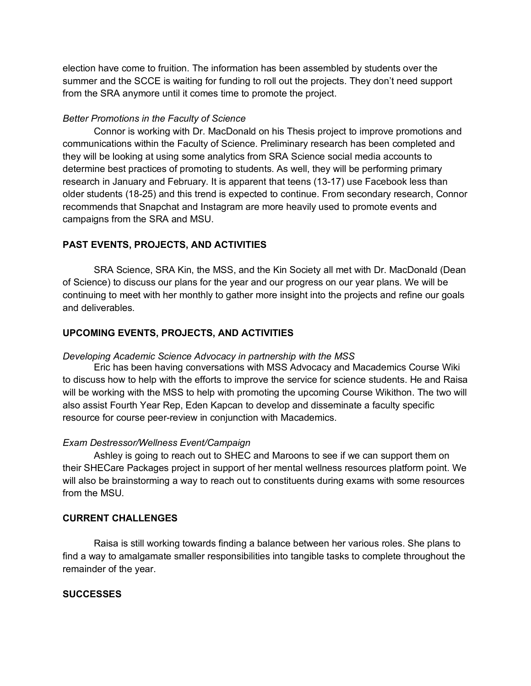election have come to fruition. The information has been assembled by students over the summer and the SCCE is waiting for funding to roll out the projects. They don't need support from the SRA anymore until it comes time to promote the project.

# *Better Promotions in the Faculty of Science*

Connor is working with Dr. MacDonald on his Thesis project to improve promotions and communications within the Faculty of Science. Preliminary research has been completed and they will be looking at using some analytics from SRA Science social media accounts to determine best practices of promoting to students. As well, they will be performing primary research in January and February. It is apparent that teens (13-17) use Facebook less than older students (18-25) and this trend is expected to continue. From secondary research, Connor recommends that Snapchat and Instagram are more heavily used to promote events and campaigns from the SRA and MSU.

# **PAST EVENTS, PROJECTS, AND ACTIVITIES**

SRA Science, SRA Kin, the MSS, and the Kin Society all met with Dr. MacDonald (Dean of Science) to discuss our plans for the year and our progress on our year plans. We will be continuing to meet with her monthly to gather more insight into the projects and refine our goals and deliverables.

# **UPCOMING EVENTS, PROJECTS, AND ACTIVITIES**

#### *Developing Academic Science Advocacy in partnership with the MSS*

Eric has been having conversations with MSS Advocacy and Macademics Course Wiki to discuss how to help with the efforts to improve the service for science students. He and Raisa will be working with the MSS to help with promoting the upcoming Course Wikithon. The two will also assist Fourth Year Rep, Eden Kapcan to develop and disseminate a faculty specific resource for course peer-review in conjunction with Macademics.

# *Exam Destressor/Wellness Event/Campaign*

Ashley is going to reach out to SHEC and Maroons to see if we can support them on their SHECare Packages project in support of her mental wellness resources platform point. We will also be brainstorming a way to reach out to constituents during exams with some resources from the MSU.

#### **CURRENT CHALLENGES**

Raisa is still working towards finding a balance between her various roles. She plans to find a way to amalgamate smaller responsibilities into tangible tasks to complete throughout the remainder of the year.

# **SUCCESSES**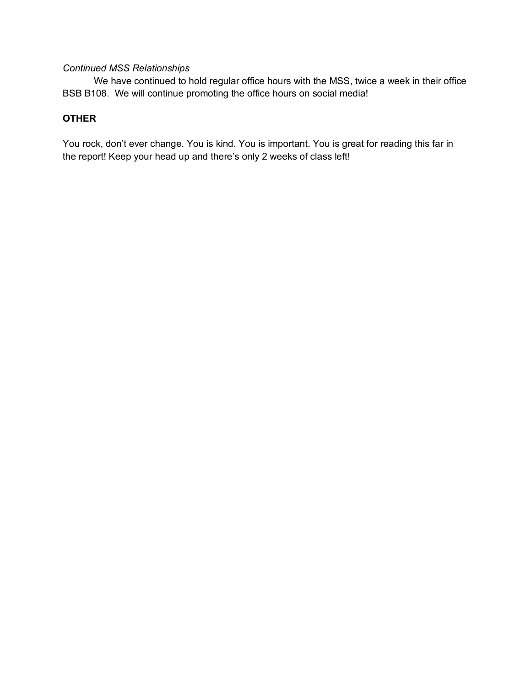# *Continued MSS Relationships*

We have continued to hold regular office hours with the MSS, twice a week in their office BSB B108. We will continue promoting the office hours on social media!

# **OTHER**

You rock, don't ever change. You is kind. You is important. You is great for reading this far in the report! Keep your head up and there's only 2 weeks of class left!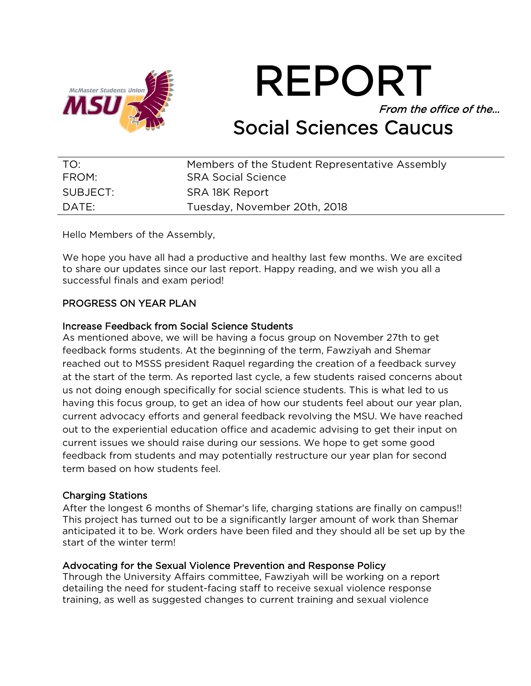

REPORT From the office of the… Social Sciences Caucus

| TO:      | Members of the Student Representative Assembly |
|----------|------------------------------------------------|
| FROM:    | <b>SRA Social Science</b>                      |
| SUBJECT: | SRA 18K Report                                 |
| DATE:    | Tuesday, November 20th, 2018                   |

Hello Members of the Assembly,

We hope you have all had a productive and healthy last few months. We are excited to share our updates since our last report. Happy reading, and we wish you all a successful finals and exam period!

# PROGRESS ON YEAR PLAN

# Increase Feedback from Social Science Students

As mentioned above, we will be having a focus group on November 27th to get feedback forms students. At the beginning of the term, Fawziyah and Shemar reached out to MSSS president Raquel regarding the creation of a feedback survey at the start of the term. As reported last cycle, a few students raised concerns about us not doing enough specifically for social science students. This is what led to us having this focus group, to get an idea of how our students feel about our year plan, current advocacy efforts and general feedback revolving the MSU. We have reached out to the experiential education office and academic advising to get their input on current issues we should raise during our sessions. We hope to get some good feedback from students and may potentially restructure our year plan for second term based on how students feel.

# Charging Stations

After the longest 6 months of Shemar's life, charging stations are finally on campus!! This project has turned out to be a significantly larger amount of work than Shemar anticipated it to be. Work orders have been filed and they should all be set up by the start of the winter term!

# Advocating for the Sexual Violence Prevention and Response Policy

Through the University Affairs committee, Fawziyah will be working on a report detailing the need for student-facing staff to receive sexual violence response training, as well as suggested changes to current training and sexual violence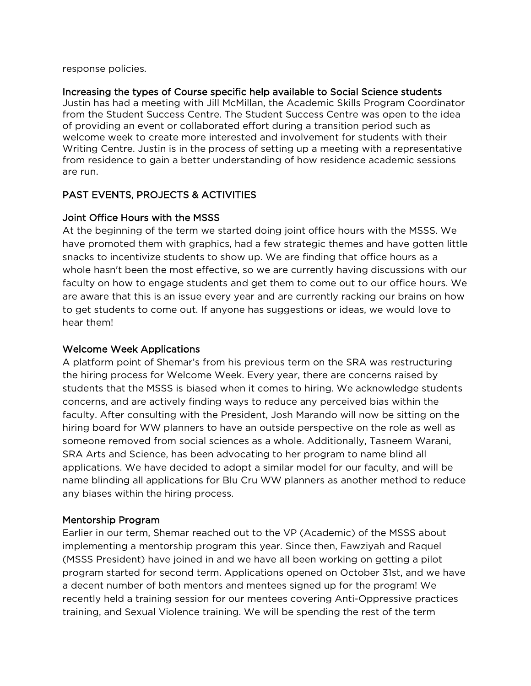response policies.

# Increasing the types of Course specific help available to Social Science students

Justin has had a meeting with Jill McMillan, the Academic Skills Program Coordinator from the Student Success Centre. The Student Success Centre was open to the idea of providing an event or collaborated effort during a transition period such as welcome week to create more interested and involvement for students with their Writing Centre. Justin is in the process of setting up a meeting with a representative from residence to gain a better understanding of how residence academic sessions are run.

# PAST EVENTS, PROJECTS & ACTIVITIES

# Joint Office Hours with the MSSS

At the beginning of the term we started doing joint office hours with the MSSS. We have promoted them with graphics, had a few strategic themes and have gotten little snacks to incentivize students to show up. We are finding that office hours as a whole hasn't been the most effective, so we are currently having discussions with our faculty on how to engage students and get them to come out to our office hours. We are aware that this is an issue every year and are currently racking our brains on how to get students to come out. If anyone has suggestions or ideas, we would love to hear them!

# Welcome Week Applications

A platform point of Shemar's from his previous term on the SRA was restructuring the hiring process for Welcome Week. Every year, there are concerns raised by students that the MSSS is biased when it comes to hiring. We acknowledge students concerns, and are actively finding ways to reduce any perceived bias within the faculty. After consulting with the President, Josh Marando will now be sitting on the hiring board for WW planners to have an outside perspective on the role as well as someone removed from social sciences as a whole. Additionally, Tasneem Warani, SRA Arts and Science, has been advocating to her program to name blind all applications. We have decided to adopt a similar model for our faculty, and will be name blinding all applications for Blu Cru WW planners as another method to reduce any biases within the hiring process.

# Mentorship Program

Earlier in our term, Shemar reached out to the VP (Academic) of the MSSS about implementing a mentorship program this year. Since then, Fawziyah and Raquel (MSSS President) have joined in and we have all been working on getting a pilot program started for second term. Applications opened on October 31st, and we have a decent number of both mentors and mentees signed up for the program! We recently held a training session for our mentees covering Anti-Oppressive practices training, and Sexual Violence training. We will be spending the rest of the term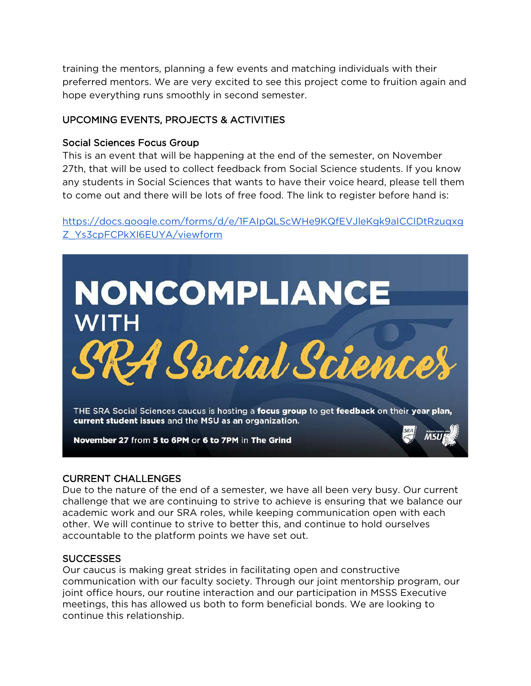training the mentors, planning a few events and matching individuals with their preferred mentors. We are very excited to see this project come to fruition again and hope everything runs smoothly in second semester.

# UPCOMING EVENTS, PROJECTS & ACTIVITIES

# Social Sciences Focus Group

This is an event that will be happening at the end of the semester, on November 27th, that will be used to collect feedback from Social Science students. If you know any students in Social Sciences that wants to have their voice heard, please tell them to come out and there will be lots of free food. The link to register before hand is:

# [https://docs.google.com/forms/d/e/1FAIpQLScWHe9KQfEVJleKgk9aICCIDtRzuqxg](https://docs.google.com/forms/d/e/1FAIpQLScWHe9KQfEVJleKgk9aICCIDtRzuqxgZ_Ys3cpFCPkXI6EUYA/viewform) [Z\\_Ys3cpFCPkXI6EUYA/viewform](https://docs.google.com/forms/d/e/1FAIpQLScWHe9KQfEVJleKgk9aICCIDtRzuqxgZ_Ys3cpFCPkXI6EUYA/viewform)



# CURRENT CHALLENGES

Due to the nature of the end of a semester, we have all been very busy. Our current challenge that we are continuing to strive to achieve is ensuring that we balance our academic work and our SRA roles, while keeping communication open with each other. We will continue to strive to better this, and continue to hold ourselves accountable to the platform points we have set out.

# **SUCCESSES**

Our caucus is making great strides in facilitating open and constructive communication with our faculty society. Through our joint mentorship program, our joint office hours, our routine interaction and our participation in MSSS Executive meetings, this has allowed us both to form beneficial bonds. We are looking to continue this relationship.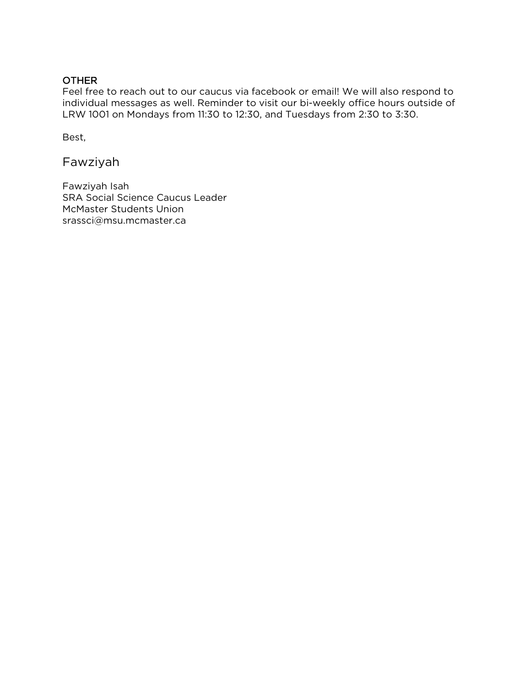# OTHER

Feel free to reach out to our caucus via facebook or email! We will also respond to individual messages as well. Reminder to visit our bi-weekly office hours outside of LRW 1001 on Mondays from 11:30 to 12:30, and Tuesdays from 2:30 to 3:30.

Best,

Fawziyah

Fawziyah Isah SRA Social Science Caucus Leader McMaster Students Union srassci@msu.mcmaster.ca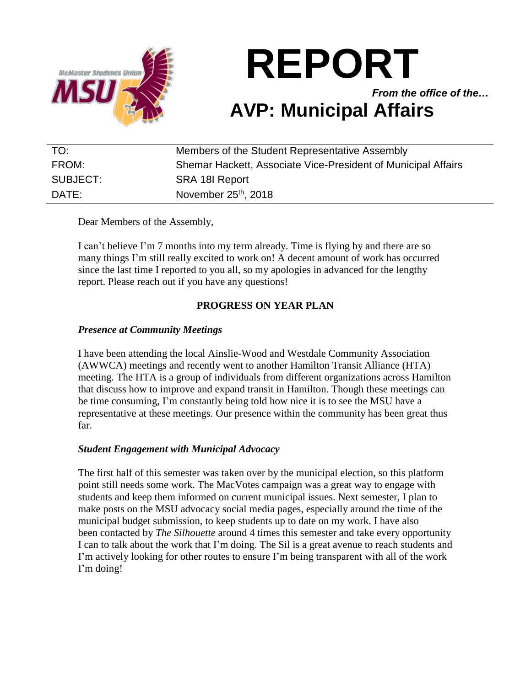

**REPORT**

*From the office of the…* **AVP: Municipal Affairs**

| TO:      | Members of the Student Representative Assembly                |
|----------|---------------------------------------------------------------|
| FROM:    | Shemar Hackett, Associate Vice-President of Municipal Affairs |
| SUBJECT: | SRA 18I Report                                                |
| DATE:    | November 25 <sup>th</sup> , 2018                              |

Dear Members of the Assembly,

I can't believe I'm 7 months into my term already. Time is flying by and there are so many things I'm still really excited to work on! A decent amount of work has occurred since the last time I reported to you all, so my apologies in advanced for the lengthy report. Please reach out if you have any questions!

# **PROGRESS ON YEAR PLAN**

# *Presence at Community Meetings*

I have been attending the local Ainslie-Wood and Westdale Community Association (AWWCA) meetings and recently went to another Hamilton Transit Alliance (HTA) meeting. The HTA is a group of individuals from different organizations across Hamilton that discuss how to improve and expand transit in Hamilton. Though these meetings can be time consuming, I'm constantly being told how nice it is to see the MSU have a representative at these meetings. Our presence within the community has been great thus far.

# *Student Engagement with Municipal Advocacy*

The first half of this semester was taken over by the municipal election, so this platform point still needs some work. The MacVotes campaign was a great way to engage with students and keep them informed on current municipal issues. Next semester, I plan to make posts on the MSU advocacy social media pages, especially around the time of the municipal budget submission, to keep students up to date on my work. I have also been contacted by *The Silhouette* around 4 times this semester and take every opportunity I can to talk about the work that I'm doing. The Sil is a great avenue to reach students and I'm actively looking for other routes to ensure I'm being transparent with all of the work I'm doing!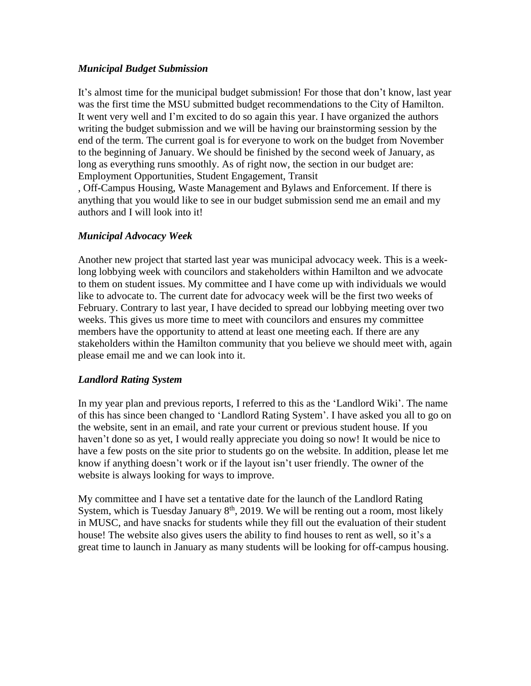# *Municipal Budget Submission*

It's almost time for the municipal budget submission! For those that don't know, last year was the first time the MSU submitted budget recommendations to the City of Hamilton. It went very well and I'm excited to do so again this year. I have organized the authors writing the budget submission and we will be having our brainstorming session by the end of the term. The current goal is for everyone to work on the budget from November to the beginning of January. We should be finished by the second week of January, as long as everything runs smoothly. As of right now, the section in our budget are: Employment Opportunities, Student Engagement, Transit

, Off-Campus Housing, Waste Management and Bylaws and Enforcement. If there is anything that you would like to see in our budget submission send me an email and my authors and I will look into it!

# *Municipal Advocacy Week*

Another new project that started last year was municipal advocacy week. This is a weeklong lobbying week with councilors and stakeholders within Hamilton and we advocate to them on student issues. My committee and I have come up with individuals we would like to advocate to. The current date for advocacy week will be the first two weeks of February. Contrary to last year, I have decided to spread our lobbying meeting over two weeks. This gives us more time to meet with councilors and ensures my committee members have the opportunity to attend at least one meeting each. If there are any stakeholders within the Hamilton community that you believe we should meet with, again please email me and we can look into it.

# *Landlord Rating System*

In my year plan and previous reports, I referred to this as the 'Landlord Wiki'. The name of this has since been changed to 'Landlord Rating System'. I have asked you all to go on the website, sent in an email, and rate your current or previous student house. If you haven't done so as yet, I would really appreciate you doing so now! It would be nice to have a few posts on the site prior to students go on the website. In addition, please let me know if anything doesn't work or if the layout isn't user friendly. The owner of the website is always looking for ways to improve.

My committee and I have set a tentative date for the launch of the Landlord Rating System, which is Tuesday January  $8<sup>th</sup>$ , 2019. We will be renting out a room, most likely in MUSC, and have snacks for students while they fill out the evaluation of their student house! The website also gives users the ability to find houses to rent as well, so it's a great time to launch in January as many students will be looking for off-campus housing.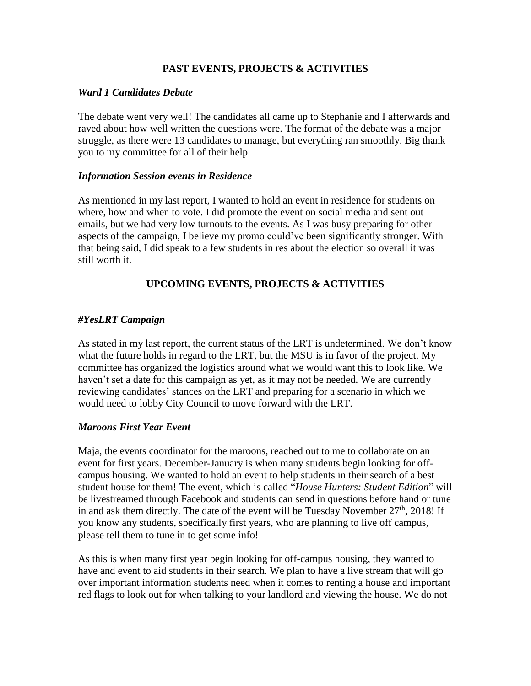# **PAST EVENTS, PROJECTS & ACTIVITIES**

# *Ward 1 Candidates Debate*

The debate went very well! The candidates all came up to Stephanie and I afterwards and raved about how well written the questions were. The format of the debate was a major struggle, as there were 13 candidates to manage, but everything ran smoothly. Big thank you to my committee for all of their help.

# *Information Session events in Residence*

As mentioned in my last report, I wanted to hold an event in residence for students on where, how and when to vote. I did promote the event on social media and sent out emails, but we had very low turnouts to the events. As I was busy preparing for other aspects of the campaign, I believe my promo could've been significantly stronger. With that being said, I did speak to a few students in res about the election so overall it was still worth it.

# **UPCOMING EVENTS, PROJECTS & ACTIVITIES**

# *#YesLRT Campaign*

As stated in my last report, the current status of the LRT is undetermined. We don't know what the future holds in regard to the LRT, but the MSU is in favor of the project. My committee has organized the logistics around what we would want this to look like. We haven't set a date for this campaign as yet, as it may not be needed. We are currently reviewing candidates' stances on the LRT and preparing for a scenario in which we would need to lobby City Council to move forward with the LRT.

# *Maroons First Year Event*

Maja, the events coordinator for the maroons, reached out to me to collaborate on an event for first years. December-January is when many students begin looking for offcampus housing. We wanted to hold an event to help students in their search of a best student house for them! The event, which is called "*House Hunters: Student Edition*" will be livestreamed through Facebook and students can send in questions before hand or tune in and ask them directly. The date of the event will be Tuesday November  $27<sup>th</sup>$ , 2018! If you know any students, specifically first years, who are planning to live off campus, please tell them to tune in to get some info!

As this is when many first year begin looking for off-campus housing, they wanted to have and event to aid students in their search. We plan to have a live stream that will go over important information students need when it comes to renting a house and important red flags to look out for when talking to your landlord and viewing the house. We do not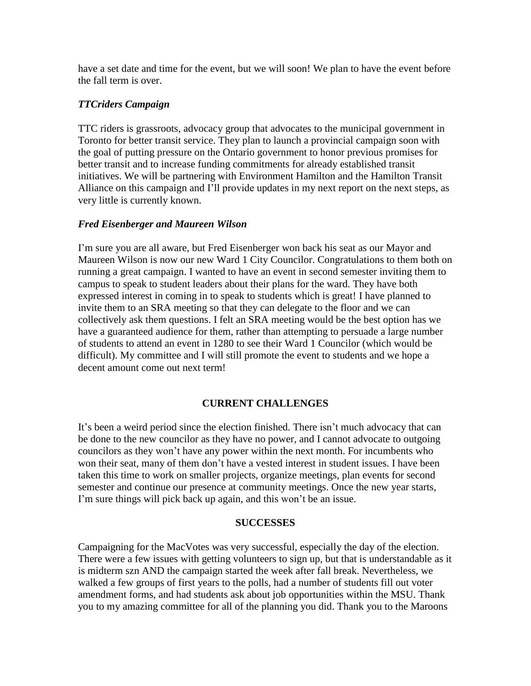have a set date and time for the event, but we will soon! We plan to have the event before the fall term is over.

# *TTCriders Campaign*

TTC riders is grassroots, advocacy group that advocates to the municipal government in Toronto for better transit service. They plan to launch a provincial campaign soon with the goal of putting pressure on the Ontario government to honor previous promises for better transit and to increase funding commitments for already established transit initiatives. We will be partnering with Environment Hamilton and the Hamilton Transit Alliance on this campaign and I'll provide updates in my next report on the next steps, as very little is currently known.

# *Fred Eisenberger and Maureen Wilson*

I'm sure you are all aware, but Fred Eisenberger won back his seat as our Mayor and Maureen Wilson is now our new Ward 1 City Councilor. Congratulations to them both on running a great campaign. I wanted to have an event in second semester inviting them to campus to speak to student leaders about their plans for the ward. They have both expressed interest in coming in to speak to students which is great! I have planned to invite them to an SRA meeting so that they can delegate to the floor and we can collectively ask them questions. I felt an SRA meeting would be the best option has we have a guaranteed audience for them, rather than attempting to persuade a large number of students to attend an event in 1280 to see their Ward 1 Councilor (which would be difficult). My committee and I will still promote the event to students and we hope a decent amount come out next term!

# **CURRENT CHALLENGES**

It's been a weird period since the election finished. There isn't much advocacy that can be done to the new councilor as they have no power, and I cannot advocate to outgoing councilors as they won't have any power within the next month. For incumbents who won their seat, many of them don't have a vested interest in student issues. I have been taken this time to work on smaller projects, organize meetings, plan events for second semester and continue our presence at community meetings. Once the new year starts, I'm sure things will pick back up again, and this won't be an issue.

# **SUCCESSES**

Campaigning for the MacVotes was very successful, especially the day of the election. There were a few issues with getting volunteers to sign up, but that is understandable as it is midterm szn AND the campaign started the week after fall break. Nevertheless, we walked a few groups of first years to the polls, had a number of students fill out voter amendment forms, and had students ask about job opportunities within the MSU. Thank you to my amazing committee for all of the planning you did. Thank you to the Maroons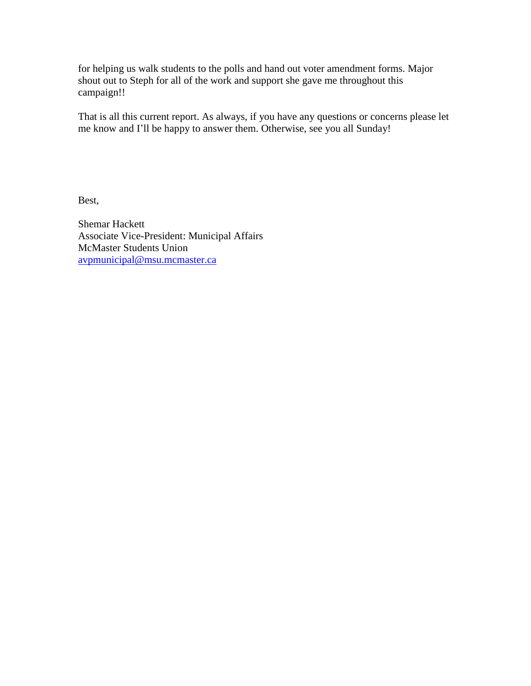for helping us walk students to the polls and hand out voter amendment forms. Major shout out to Steph for all of the work and support she gave me throughout this campaign!!

That is all this current report. As always, if you have any questions or concerns please let me know and I'll be happy to answer them. Otherwise, see you all Sunday!

Best,

Shemar Hackett Associate Vice-President: Municipal Affairs McMaster Students Union [avpmunicipal@msu.mcmaster.ca](mailto:avpmunicipal@msu.mcmaster.ca)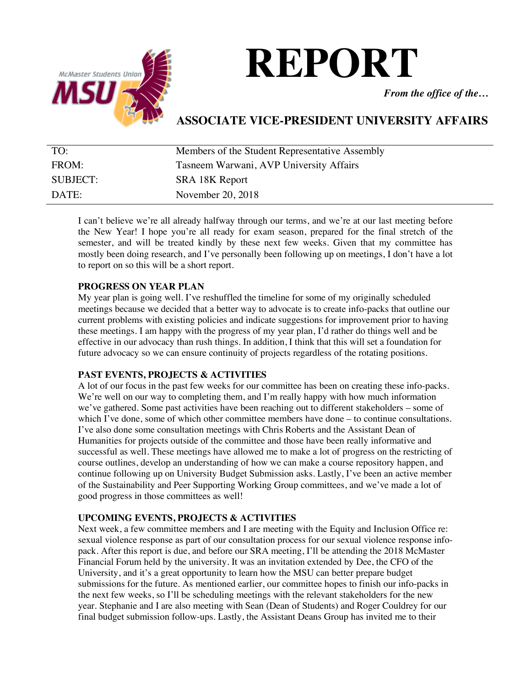

# **REPORT**

*From the office of the…*

# **ASSOCIATE VICE-PRESIDENT UNIVERSITY AFFAIRS**

| TO:             | Members of the Student Representative Assembly |
|-----------------|------------------------------------------------|
| FROM:           | Tasneem Warwani, AVP University Affairs        |
| <b>SUBJECT:</b> | SRA 18K Report                                 |
| DATE:           | November 20, 2018                              |

I can't believe we're all already halfway through our terms, and we're at our last meeting before the New Year! I hope you're all ready for exam season, prepared for the final stretch of the semester, and will be treated kindly by these next few weeks. Given that my committee has mostly been doing research, and I've personally been following up on meetings, I don't have a lot to report on so this will be a short report.

# **PROGRESS ON YEAR PLAN**

My year plan is going well. I've reshuffled the timeline for some of my originally scheduled meetings because we decided that a better way to advocate is to create info-packs that outline our current problems with existing policies and indicate suggestions for improvement prior to having these meetings. I am happy with the progress of my year plan, I'd rather do things well and be effective in our advocacy than rush things. In addition, I think that this will set a foundation for future advocacy so we can ensure continuity of projects regardless of the rotating positions.

# **PAST EVENTS, PROJECTS & ACTIVITIES**

A lot of our focus in the past few weeks for our committee has been on creating these info-packs. We're well on our way to completing them, and I'm really happy with how much information we've gathered. Some past activities have been reaching out to different stakeholders – some of which I've done, some of which other committee members have done – to continue consultations. I've also done some consultation meetings with Chris Roberts and the Assistant Dean of Humanities for projects outside of the committee and those have been really informative and successful as well. These meetings have allowed me to make a lot of progress on the restricting of course outlines, develop an understanding of how we can make a course repository happen, and continue following up on University Budget Submission asks. Lastly, I've been an active member of the Sustainability and Peer Supporting Working Group committees, and we've made a lot of good progress in those committees as well!

# **UPCOMING EVENTS, PROJECTS & ACTIVITIES**

Next week, a few committee members and I are meeting with the Equity and Inclusion Office re: sexual violence response as part of our consultation process for our sexual violence response infopack. After this report is due, and before our SRA meeting, I'll be attending the 2018 McMaster Financial Forum held by the university. It was an invitation extended by Dee, the CFO of the University, and it's a great opportunity to learn how the MSU can better prepare budget submissions for the future. As mentioned earlier, our committee hopes to finish our info-packs in the next few weeks, so I'll be scheduling meetings with the relevant stakeholders for the new year. Stephanie and I are also meeting with Sean (Dean of Students) and Roger Couldrey for our final budget submission follow-ups. Lastly, the Assistant Deans Group has invited me to their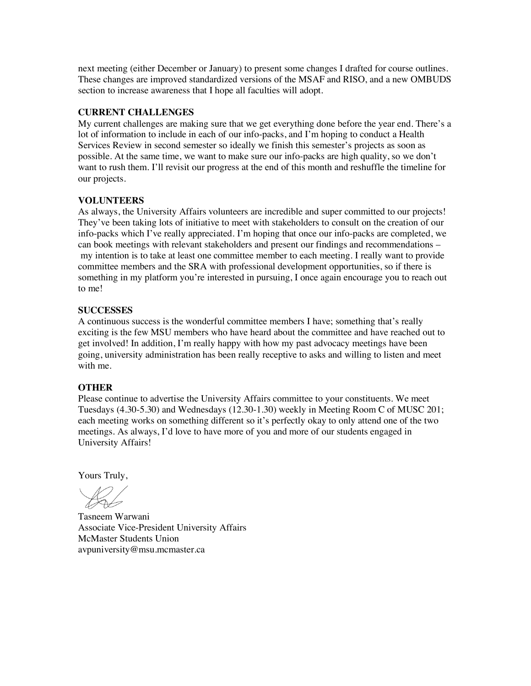next meeting (either December or January) to present some changes I drafted for course outlines. These changes are improved standardized versions of the MSAF and RISO, and a new OMBUDS section to increase awareness that I hope all faculties will adopt.

#### **CURRENT CHALLENGES**

My current challenges are making sure that we get everything done before the year end. There's a lot of information to include in each of our info-packs, and I'm hoping to conduct a Health Services Review in second semester so ideally we finish this semester's projects as soon as possible. At the same time, we want to make sure our info-packs are high quality, so we don't want to rush them. I'll revisit our progress at the end of this month and reshuffle the timeline for our projects.

# **VOLUNTEERS**

As always, the University Affairs volunteers are incredible and super committed to our projects! They've been taking lots of initiative to meet with stakeholders to consult on the creation of our info-packs which I've really appreciated. I'm hoping that once our info-packs are completed, we can book meetings with relevant stakeholders and present our findings and recommendations – my intention is to take at least one committee member to each meeting. I really want to provide committee members and the SRA with professional development opportunities, so if there is something in my platform you're interested in pursuing, I once again encourage you to reach out to me!

#### **SUCCESSES**

A continuous success is the wonderful committee members I have; something that's really exciting is the few MSU members who have heard about the committee and have reached out to get involved! In addition, I'm really happy with how my past advocacy meetings have been going, university administration has been really receptive to asks and willing to listen and meet with me.

#### **OTHER**

Please continue to advertise the University Affairs committee to your constituents. We meet Tuesdays (4.30-5.30) and Wednesdays (12.30-1.30) weekly in Meeting Room C of MUSC 201; each meeting works on something different so it's perfectly okay to only attend one of the two meetings. As always, I'd love to have more of you and more of our students engaged in University Affairs!

Yours Truly,

Tasneem Warwani Associate Vice-President University Affairs McMaster Students Union avpuniversity@msu.mcmaster.ca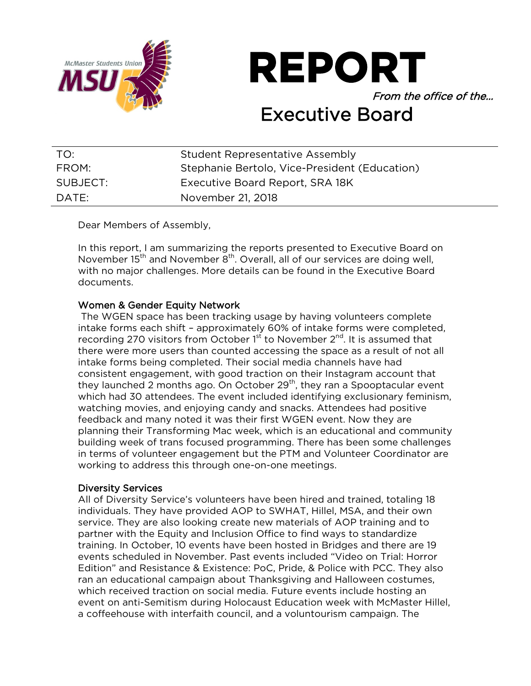

**REPORT** From the office of the…

# Executive Board

| TO:      | Student Representative Assembly               |
|----------|-----------------------------------------------|
| FROM:    | Stephanie Bertolo, Vice-President (Education) |
| SUBJECT: | Executive Board Report, SRA 18K               |
| DATE:    | November 21, 2018                             |

Dear Members of Assembly,

In this report, I am summarizing the reports presented to Executive Board on November 15<sup>th</sup> and November 8<sup>th</sup>. Overall, all of our services are doing well, with no major challenges. More details can be found in the Executive Board documents.

# Women & Gender Equity Network

The WGEN space has been tracking usage by having volunteers complete intake forms each shift – approximately 60% of intake forms were completed, recording 270 visitors from October  $1<sup>st</sup>$  to November  $2<sup>nd</sup>$ . It is assumed that there were more users than counted accessing the space as a result of not all intake forms being completed. Their social media channels have had consistent engagement, with good traction on their Instagram account that they launched 2 months ago. On October  $29<sup>th</sup>$ , they ran a Spooptacular event which had 30 attendees. The event included identifying exclusionary feminism, watching movies, and enjoying candy and snacks. Attendees had positive feedback and many noted it was their first WGEN event. Now they are planning their Transforming Mac week, which is an educational and community building week of trans focused programming. There has been some challenges in terms of volunteer engagement but the PTM and Volunteer Coordinator are working to address this through one-on-one meetings.

# Diversity Services

All of Diversity Service's volunteers have been hired and trained, totaling 18 individuals. They have provided AOP to SWHAT, Hillel, MSA, and their own service. They are also looking create new materials of AOP training and to partner with the Equity and Inclusion Office to find ways to standardize training. In October, 10 events have been hosted in Bridges and there are 19 events scheduled in November. Past events included "Video on Trial: Horror Edition" and Resistance & Existence: PoC, Pride, & Police with PCC. They also ran an educational campaign about Thanksgiving and Halloween costumes, which received traction on social media. Future events include hosting an event on anti-Semitism during Holocaust Education week with McMaster Hillel, a coffeehouse with interfaith council, and a voluntourism campaign. The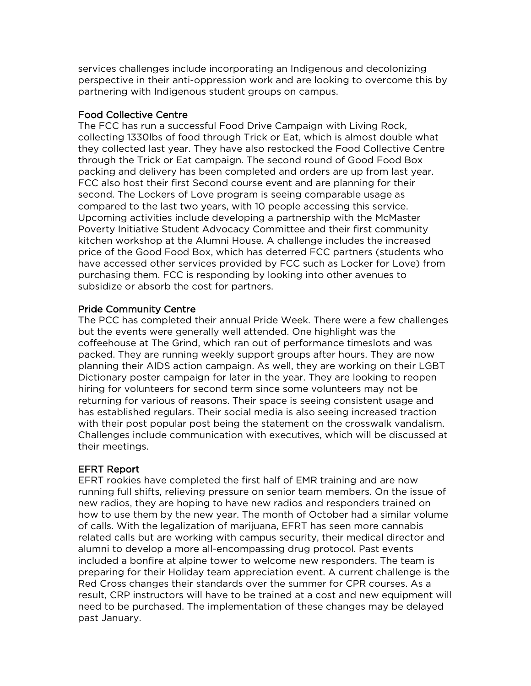services challenges include incorporating an Indigenous and decolonizing perspective in their anti-oppression work and are looking to overcome this by partnering with Indigenous student groups on campus.

# Food Collective Centre

The FCC has run a successful Food Drive Campaign with Living Rock, collecting 1330lbs of food through Trick or Eat, which is almost double what they collected last year. They have also restocked the Food Collective Centre through the Trick or Eat campaign. The second round of Good Food Box packing and delivery has been completed and orders are up from last year. FCC also host their first Second course event and are planning for their second. The Lockers of Love program is seeing comparable usage as compared to the last two years, with 10 people accessing this service. Upcoming activities include developing a partnership with the McMaster Poverty Initiative Student Advocacy Committee and their first community kitchen workshop at the Alumni House. A challenge includes the increased price of the Good Food Box, which has deterred FCC partners (students who have accessed other services provided by FCC such as Locker for Love) from purchasing them. FCC is responding by looking into other avenues to subsidize or absorb the cost for partners.

# Pride Community Centre

The PCC has completed their annual Pride Week. There were a few challenges but the events were generally well attended. One highlight was the coffeehouse at The Grind, which ran out of performance timeslots and was packed. They are running weekly support groups after hours. They are now planning their AIDS action campaign. As well, they are working on their LGBT Dictionary poster campaign for later in the year. They are looking to reopen hiring for volunteers for second term since some volunteers may not be returning for various of reasons. Their space is seeing consistent usage and has established regulars. Their social media is also seeing increased traction with their post popular post being the statement on the crosswalk vandalism. Challenges include communication with executives, which will be discussed at their meetings.

# EFRT Report

EFRT rookies have completed the first half of EMR training and are now running full shifts, relieving pressure on senior team members. On the issue of new radios, they are hoping to have new radios and responders trained on how to use them by the new year. The month of October had a similar volume of calls. With the legalization of marijuana, EFRT has seen more cannabis related calls but are working with campus security, their medical director and alumni to develop a more all-encompassing drug protocol. Past events included a bonfire at alpine tower to welcome new responders. The team is preparing for their Holiday team appreciation event. A current challenge is the Red Cross changes their standards over the summer for CPR courses. As a result, CRP instructors will have to be trained at a cost and new equipment will need to be purchased. The implementation of these changes may be delayed past January.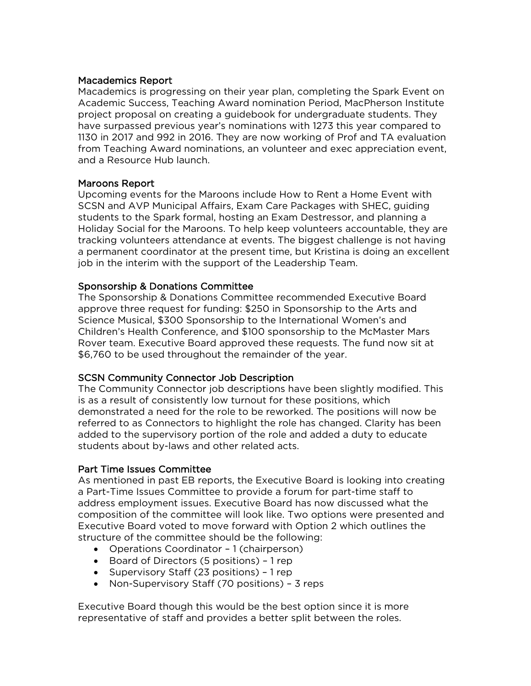# Macademics Report

Macademics is progressing on their year plan, completing the Spark Event on Academic Success, Teaching Award nomination Period, MacPherson Institute project proposal on creating a guidebook for undergraduate students. They have surpassed previous year's nominations with 1273 this year compared to 1130 in 2017 and 992 in 2016. They are now working of Prof and TA evaluation from Teaching Award nominations, an volunteer and exec appreciation event, and a Resource Hub launch.

# Maroons Report

Upcoming events for the Maroons include How to Rent a Home Event with SCSN and AVP Municipal Affairs, Exam Care Packages with SHEC, guiding students to the Spark formal, hosting an Exam Destressor, and planning a Holiday Social for the Maroons. To help keep volunteers accountable, they are tracking volunteers attendance at events. The biggest challenge is not having a permanent coordinator at the present time, but Kristina is doing an excellent job in the interim with the support of the Leadership Team.

# Sponsorship & Donations Committee

The Sponsorship & Donations Committee recommended Executive Board approve three request for funding: \$250 in Sponsorship to the Arts and Science Musical, \$300 Sponsorship to the International Women's and Children's Health Conference, and \$100 sponsorship to the McMaster Mars Rover team. Executive Board approved these requests. The fund now sit at \$6,760 to be used throughout the remainder of the year.

# SCSN Community Connector Job Description

The Community Connector job descriptions have been slightly modified. This is as a result of consistently low turnout for these positions, which demonstrated a need for the role to be reworked. The positions will now be referred to as Connectors to highlight the role has changed. Clarity has been added to the supervisory portion of the role and added a duty to educate students about by-laws and other related acts.

# Part Time Issues Committee

As mentioned in past EB reports, the Executive Board is looking into creating a Part-Time Issues Committee to provide a forum for part-time staff to address employment issues. Executive Board has now discussed what the composition of the committee will look like. Two options were presented and Executive Board voted to move forward with Option 2 which outlines the structure of the committee should be the following:

- Operations Coordinator 1 (chairperson)
- Board of Directors (5 positions) 1 rep
- Supervisory Staff (23 positions) 1 rep
- Non-Supervisory Staff (70 positions) 3 reps

Executive Board though this would be the best option since it is more representative of staff and provides a better split between the roles.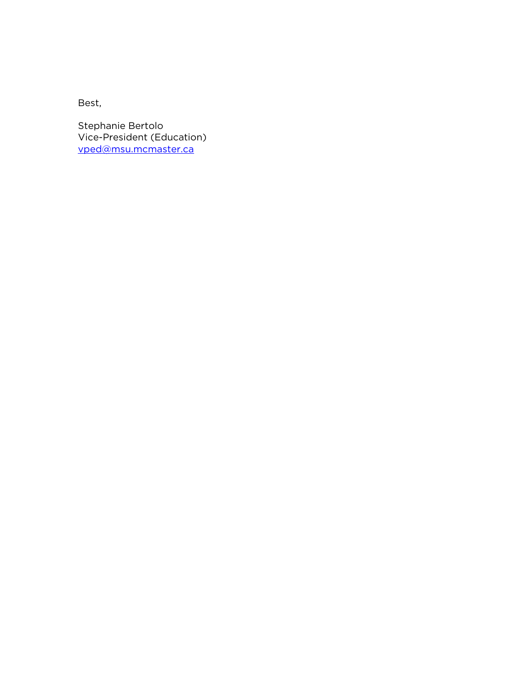Best,

Stephanie Bertolo Vice-President (Education) [vped@msu.mcmaster.ca](mailto:vped@msu.mcmaster.ca)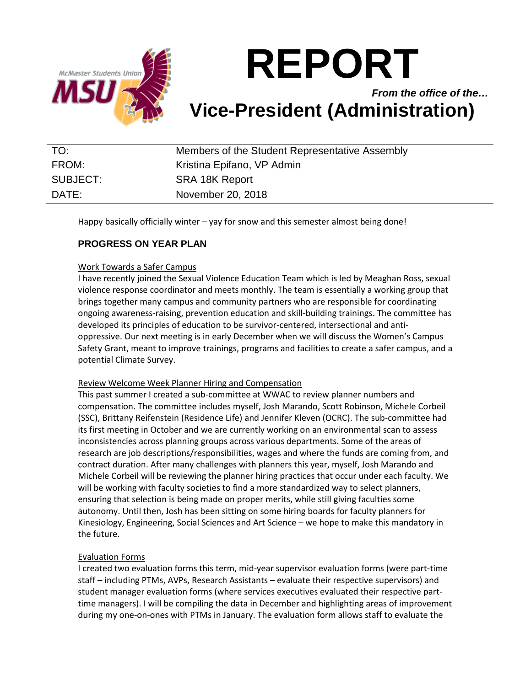

# **REPORT**

*From the office of the…* **Vice-President (Administration)**

| TO:      | Members of the Student Representative Assembly |
|----------|------------------------------------------------|
| FROM:    | Kristina Epifano, VP Admin                     |
| SUBJECT: | SRA 18K Report                                 |
| DATE:    | November 20, 2018                              |

Happy basically officially winter – yay for snow and this semester almost being done!

# **PROGRESS ON YEAR PLAN**

# Work Towards a Safer Campus

I have recently joined the Sexual Violence Education Team which is led by Meaghan Ross, sexual violence response coordinator and meets monthly. The team is essentially a working group that brings together many campus and community partners who are responsible for coordinating ongoing awareness-raising, prevention education and skill-building trainings. The committee has developed its principles of education to be survivor-centered, intersectional and antioppressive. Our next meeting is in early December when we will discuss the Women's Campus Safety Grant, meant to improve trainings, programs and facilities to create a safer campus, and a potential Climate Survey.

# Review Welcome Week Planner Hiring and Compensation

This past summer I created a sub-committee at WWAC to review planner numbers and compensation. The committee includes myself, Josh Marando, Scott Robinson, Michele Corbeil (SSC), Brittany Reifenstein (Residence Life) and Jennifer Kleven (OCRC). The sub-committee had its first meeting in October and we are currently working on an environmental scan to assess inconsistencies across planning groups across various departments. Some of the areas of research are job descriptions/responsibilities, wages and where the funds are coming from, and contract duration. After many challenges with planners this year, myself, Josh Marando and Michele Corbeil will be reviewing the planner hiring practices that occur under each faculty. We will be working with faculty societies to find a more standardized way to select planners, ensuring that selection is being made on proper merits, while still giving faculties some autonomy. Until then, Josh has been sitting on some hiring boards for faculty planners for Kinesiology, Engineering, Social Sciences and Art Science – we hope to make this mandatory in the future.

# Evaluation Forms

I created two evaluation forms this term, mid-year supervisor evaluation forms (were part-time staff – including PTMs, AVPs, Research Assistants – evaluate their respective supervisors) and student manager evaluation forms (where services executives evaluated their respective parttime managers). I will be compiling the data in December and highlighting areas of improvement during my one-on-ones with PTMs in January. The evaluation form allows staff to evaluate the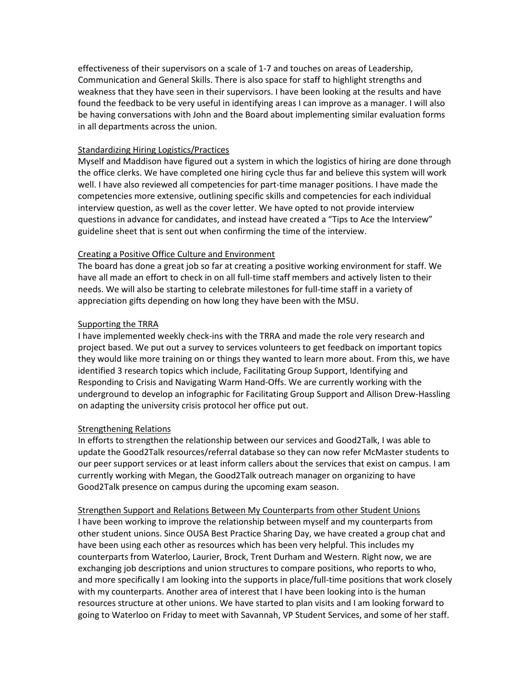effectiveness of their supervisors on a scale of 1-7 and touches on areas of Leadership, Communication and General Skills. There is also space for staff to highlight strengths and weakness that they have seen in their supervisors. I have been looking at the results and have found the feedback to be very useful in identifying areas I can improve as a manager. I will also be having conversations with John and the Board about implementing similar evaluation forms in all departments across the union.

# Standardizing Hiring Logistics/Practices

Myself and Maddison have figured out a system in which the logistics of hiring are done through the office clerks. We have completed one hiring cycle thus far and believe this system will work well. I have also reviewed all competencies for part-time manager positions. I have made the competencies more extensive, outlining specific skills and competencies for each individual interview question, as well as the cover letter. We have opted to not provide interview questions in advance for candidates, and instead have created a "Tips to Ace the Interview" guideline sheet that is sent out when confirming the time of the interview.

# Creating a Positive Office Culture and Environment

The board has done a great job so far at creating a positive working environment for staff. We have all made an effort to check in on all full-time staff members and actively listen to their needs. We will also be starting to celebrate milestones for full-time staff in a variety of appreciation gifts depending on how long they have been with the MSU.

# Supporting the TRRA

I have implemented weekly check-ins with the TRRA and made the role very research and project based. We put out a survey to services volunteers to get feedback on important topics they would like more training on or things they wanted to learn more about. From this, we have identified 3 research topics which include, Facilitating Group Support, Identifying and Responding to Crisis and Navigating Warm Hand-Offs. We are currently working with the underground to develop an infographic for Facilitating Group Support and Allison Drew-Hassling on adapting the university crisis protocol her office put out.

# Strengthening Relations

In efforts to strengthen the relationship between our services and Good2Talk, I was able to update the Good2Talk resources/referral database so they can now refer McMaster students to our peer support services or at least inform callers about the services that exist on campus. I am currently working with Megan, the Good2Talk outreach manager on organizing to have Good2Talk presence on campus during the upcoming exam season.

# Strengthen Support and Relations Between My Counterparts from other Student Unions

I have been working to improve the relationship between myself and my counterparts from other student unions. Since OUSA Best Practice Sharing Day, we have created a group chat and have been using each other as resources which has been very helpful. This includes my counterparts from Waterloo, Laurier, Brock, Trent Durham and Western. Right now, we are exchanging job descriptions and union structures to compare positions, who reports to who, and more specifically I am looking into the supports in place/full-time positions that work closely with my counterparts. Another area of interest that I have been looking into is the human resources structure at other unions. We have started to plan visits and I am looking forward to going to Waterloo on Friday to meet with Savannah, VP Student Services, and some of her staff.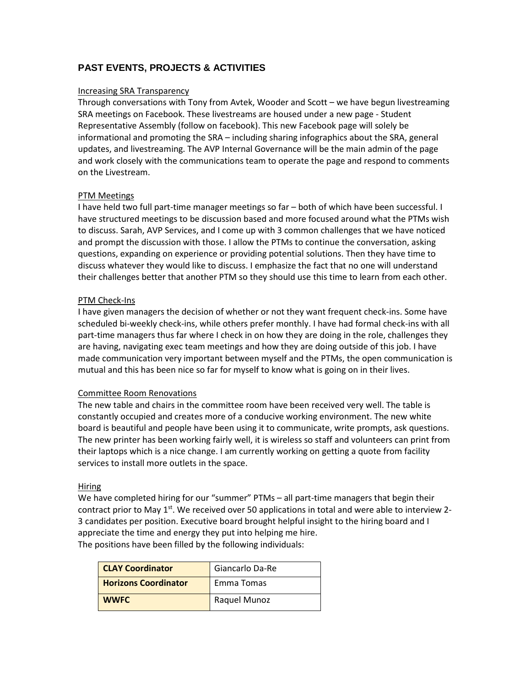# **PAST EVENTS, PROJECTS & ACTIVITIES**

#### Increasing SRA Transparency

Through conversations with Tony from Avtek, Wooder and Scott – we have begun livestreaming SRA meetings on Facebook. These livestreams are housed under a new page - Student Representative Assembly (follow on facebook). This new Facebook page will solely be informational and promoting the SRA – including sharing infographics about the SRA, general updates, and livestreaming. The AVP Internal Governance will be the main admin of the page and work closely with the communications team to operate the page and respond to comments on the Livestream.

#### PTM Meetings

I have held two full part-time manager meetings so far – both of which have been successful. I have structured meetings to be discussion based and more focused around what the PTMs wish to discuss. Sarah, AVP Services, and I come up with 3 common challenges that we have noticed and prompt the discussion with those. I allow the PTMs to continue the conversation, asking questions, expanding on experience or providing potential solutions. Then they have time to discuss whatever they would like to discuss. I emphasize the fact that no one will understand their challenges better that another PTM so they should use this time to learn from each other.

# PTM Check-Ins

I have given managers the decision of whether or not they want frequent check-ins. Some have scheduled bi-weekly check-ins, while others prefer monthly. I have had formal check-ins with all part-time managers thus far where I check in on how they are doing in the role, challenges they are having, navigating exec team meetings and how they are doing outside of this job. I have made communication very important between myself and the PTMs, the open communication is mutual and this has been nice so far for myself to know what is going on in their lives.

# Committee Room Renovations

The new table and chairs in the committee room have been received very well. The table is constantly occupied and creates more of a conducive working environment. The new white board is beautiful and people have been using it to communicate, write prompts, ask questions. The new printer has been working fairly well, it is wireless so staff and volunteers can print from their laptops which is a nice change. I am currently working on getting a quote from facility services to install more outlets in the space.

# **Hiring**

We have completed hiring for our "summer" PTMs – all part-time managers that begin their contract prior to May  $1^{st}$ . We received over 50 applications in total and were able to interview 2-3 candidates per position. Executive board brought helpful insight to the hiring board and I appreciate the time and energy they put into helping me hire. The positions have been filled by the following individuals:

| <b>CLAY Coordinator</b>     | Giancarlo Da-Re |
|-----------------------------|-----------------|
| <b>Horizons Coordinator</b> | Emma Tomas      |
| <b>WWFC</b>                 | Raquel Munoz    |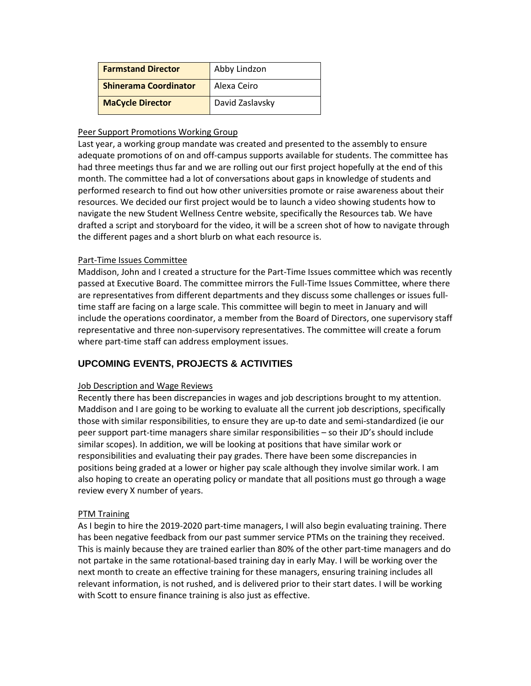| <b>Farmstand Director</b>    | Abby Lindzon    |
|------------------------------|-----------------|
| <b>Shinerama Coordinator</b> | Alexa Ceiro     |
| <b>MaCycle Director</b>      | David Zaslavsky |

# Peer Support Promotions Working Group

Last year, a working group mandate was created and presented to the assembly to ensure adequate promotions of on and off-campus supports available for students. The committee has had three meetings thus far and we are rolling out our first project hopefully at the end of this month. The committee had a lot of conversations about gaps in knowledge of students and performed research to find out how other universities promote or raise awareness about their resources. We decided our first project would be to launch a video showing students how to navigate the new Student Wellness Centre website, specifically the Resources tab. We have drafted a script and storyboard for the video, it will be a screen shot of how to navigate through the different pages and a short blurb on what each resource is.

# Part-Time Issues Committee

Maddison, John and I created a structure for the Part-Time Issues committee which was recently passed at Executive Board. The committee mirrors the Full-Time Issues Committee, where there are representatives from different departments and they discuss some challenges or issues fulltime staff are facing on a large scale. This committee will begin to meet in January and will include the operations coordinator, a member from the Board of Directors, one supervisory staff representative and three non-supervisory representatives. The committee will create a forum where part-time staff can address employment issues.

# **UPCOMING EVENTS, PROJECTS & ACTIVITIES**

# Job Description and Wage Reviews

Recently there has been discrepancies in wages and job descriptions brought to my attention. Maddison and I are going to be working to evaluate all the current job descriptions, specifically those with similar responsibilities, to ensure they are up-to date and semi-standardized (ie our peer support part-time managers share similar responsibilities – so their JD's should include similar scopes). In addition, we will be looking at positions that have similar work or responsibilities and evaluating their pay grades. There have been some discrepancies in positions being graded at a lower or higher pay scale although they involve similar work. I am also hoping to create an operating policy or mandate that all positions must go through a wage review every X number of years.

# PTM Training

As I begin to hire the 2019-2020 part-time managers, I will also begin evaluating training. There has been negative feedback from our past summer service PTMs on the training they received. This is mainly because they are trained earlier than 80% of the other part-time managers and do not partake in the same rotational-based training day in early May. I will be working over the next month to create an effective training for these managers, ensuring training includes all relevant information, is not rushed, and is delivered prior to their start dates. I will be working with Scott to ensure finance training is also just as effective.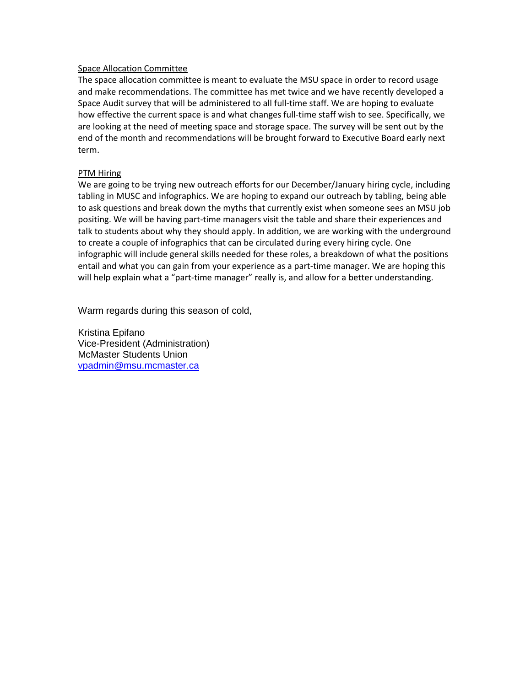#### Space Allocation Committee

The space allocation committee is meant to evaluate the MSU space in order to record usage and make recommendations. The committee has met twice and we have recently developed a Space Audit survey that will be administered to all full-time staff. We are hoping to evaluate how effective the current space is and what changes full-time staff wish to see. Specifically, we are looking at the need of meeting space and storage space. The survey will be sent out by the end of the month and recommendations will be brought forward to Executive Board early next term.

#### PTM Hiring

We are going to be trying new outreach efforts for our December/January hiring cycle, including tabling in MUSC and infographics. We are hoping to expand our outreach by tabling, being able to ask questions and break down the myths that currently exist when someone sees an MSU job positing. We will be having part-time managers visit the table and share their experiences and talk to students about why they should apply. In addition, we are working with the underground to create a couple of infographics that can be circulated during every hiring cycle. One infographic will include general skills needed for these roles, a breakdown of what the positions entail and what you can gain from your experience as a part-time manager. We are hoping this will help explain what a "part-time manager" really is, and allow for a better understanding.

Warm regards during this season of cold,

Kristina Epifano Vice-President (Administration) McMaster Students Union [vpadmin@msu.mcmaster.ca](mailto:vpadmin@msu.mcmaster.ca)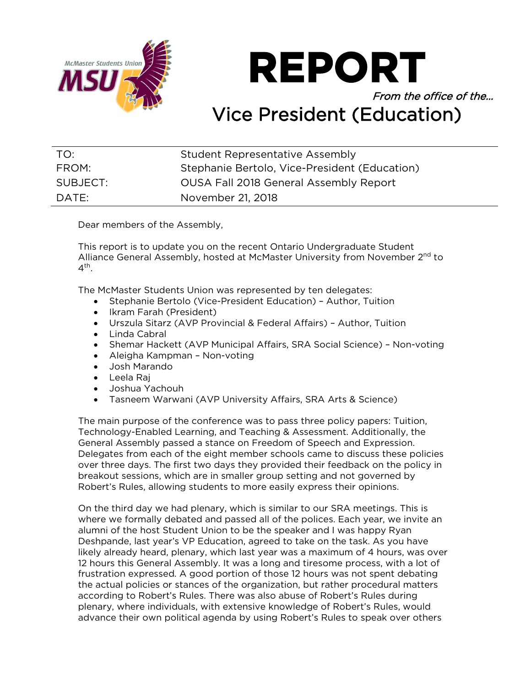

**REPORT** 

# From the office of the… Vice President (Education)

| TO:      | Student Representative Assembly               |
|----------|-----------------------------------------------|
| FROM:    | Stephanie Bertolo, Vice-President (Education) |
| SUBJECT: | <b>OUSA Fall 2018 General Assembly Report</b> |
| DATE:    | November 21, 2018                             |

Dear members of the Assembly,

This report is to update you on the recent Ontario Undergraduate Student Alliance General Assembly, hosted at McMaster University from November 2<sup>nd</sup> to  $4^{\text{th}}$ .

The McMaster Students Union was represented by ten delegates:

- Stephanie Bertolo (Vice-President Education) Author, Tuition
- Ikram Farah (President)
- Urszula Sitarz (AVP Provincial & Federal Affairs) Author, Tuition
- Linda Cabral
- Shemar Hackett (AVP Municipal Affairs, SRA Social Science) Non-voting
- Aleigha Kampman Non-voting
- Josh Marando
- Leela Raj
- Joshua Yachouh
- Tasneem Warwani (AVP University Affairs, SRA Arts & Science)

The main purpose of the conference was to pass three policy papers: Tuition, Technology-Enabled Learning, and Teaching & Assessment. Additionally, the General Assembly passed a stance on Freedom of Speech and Expression. Delegates from each of the eight member schools came to discuss these policies over three days. The first two days they provided their feedback on the policy in breakout sessions, which are in smaller group setting and not governed by Robert's Rules, allowing students to more easily express their opinions.

On the third day we had plenary, which is similar to our SRA meetings. This is where we formally debated and passed all of the polices. Each year, we invite an alumni of the host Student Union to be the speaker and I was happy Ryan Deshpande, last year's VP Education, agreed to take on the task. As you have likely already heard, plenary, which last year was a maximum of 4 hours, was over 12 hours this General Assembly. It was a long and tiresome process, with a lot of frustration expressed. A good portion of those 12 hours was not spent debating the actual policies or stances of the organization, but rather procedural matters according to Robert's Rules. There was also abuse of Robert's Rules during plenary, where individuals, with extensive knowledge of Robert's Rules, would advance their own political agenda by using Robert's Rules to speak over others